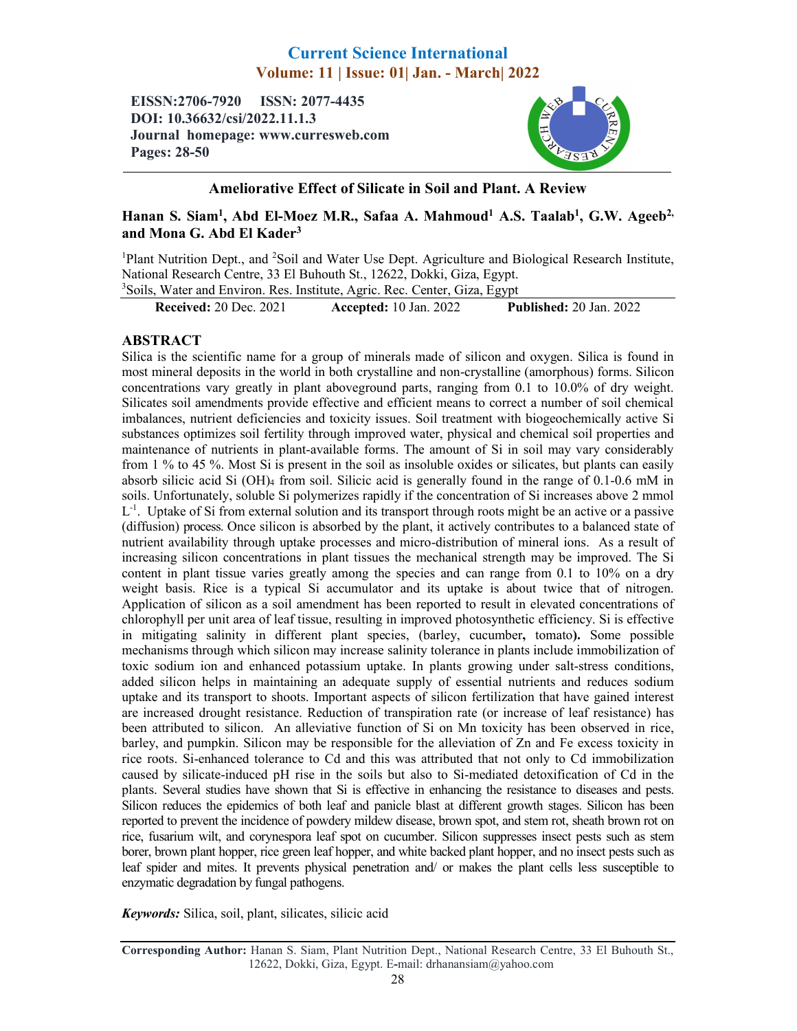# Current Science International Volume: 11 | Issue: 01| Jan. - March| 2022

EISSN:2706-7920 ISSN: 2077-4435 DOI: 10.36632/csi/2022.11.1.3 Journal homepage: www.curresweb.com Pages: 28-50



## Ameliorative Effect of Silicate in Soil and Plant. A Review

Hanan S. Siam<sup>1</sup>, Abd El-Moez M.R., Safaa A. Mahmoud<sup>1</sup> A.S. Taalab<sup>1</sup>, G.W. Ageeb<sup>2,</sup> and Mona G. Abd El Kader<sup>3</sup>

<sup>1</sup>Plant Nutrition Dept., and <sup>2</sup>Soil and Water Use Dept. Agriculture and Biological Research Institute, National Research Centre, 33 El Buhouth St., 12622, Dokki, Giza, Egypt.

<sup>3</sup>Soils, Water and Environ. Res. Institute, Agric. Rec. Center, Giza, Egypt

Received: 20 Dec. 2021 Accepted: 10 Jan. 2022 Published: 20 Jan. 2022

## ABSTRACT

Silica is the scientific name for a group of minerals made of silicon and oxygen. Silica is found in most mineral deposits in the world in both crystalline and non-crystalline (amorphous) forms. Silicon concentrations vary greatly in plant aboveground parts, ranging from 0.1 to 10.0% of dry weight. Silicates soil amendments provide effective and efficient means to correct a number of soil chemical imbalances, nutrient deficiencies and toxicity issues. Soil treatment with biogeochemically active Si substances optimizes soil fertility through improved water, physical and chemical soil properties and maintenance of nutrients in plant-available forms. The amount of Si in soil may vary considerably from 1 % to 45 %. Most Si is present in the soil as insoluble oxides or silicates, but plants can easily absorb silicic acid Si  $(OH)_4$  from soil. Silicic acid is generally found in the range of 0.1-0.6 mM in soils. Unfortunately, soluble Si polymerizes rapidly if the concentration of Si increases above 2 mmol  $L<sup>-1</sup>$ . Uptake of Si from external solution and its transport through roots might be an active or a passive (diffusion) process. Once silicon is absorbed by the plant, it actively contributes to a balanced state of nutrient availability through uptake processes and micro-distribution of mineral ions. As a result of increasing silicon concentrations in plant tissues the mechanical strength may be improved. The Si content in plant tissue varies greatly among the species and can range from 0.1 to 10% on a dry weight basis. Rice is a typical Si accumulator and its uptake is about twice that of nitrogen. Application of silicon as a soil amendment has been reported to result in elevated concentrations of chlorophyll per unit area of leaf tissue, resulting in improved photosynthetic efficiency. Si is effective in mitigating salinity in different plant species, (barley, cucumber, tomato). Some possible mechanisms through which silicon may increase salinity tolerance in plants include immobilization of toxic sodium ion and enhanced potassium uptake. In plants growing under salt-stress conditions, added silicon helps in maintaining an adequate supply of essential nutrients and reduces sodium uptake and its transport to shoots. Important aspects of silicon fertilization that have gained interest are increased drought resistance. Reduction of transpiration rate (or increase of leaf resistance) has been attributed to silicon. An alleviative function of Si on Mn toxicity has been observed in rice, barley, and pumpkin. Silicon may be responsible for the alleviation of Zn and Fe excess toxicity in rice roots. Si-enhanced tolerance to Cd and this was attributed that not only to Cd immobilization caused by silicate-induced pH rise in the soils but also to Si-mediated detoxification of Cd in the plants. Several studies have shown that Si is effective in enhancing the resistance to diseases and pests. Silicon reduces the epidemics of both leaf and panicle blast at different growth stages. Silicon has been reported to prevent the incidence of powdery mildew disease, brown spot, and stem rot, sheath brown rot on rice, fusarium wilt, and corynespora leaf spot on cucumber. Silicon suppresses insect pests such as stem borer, brown plant hopper, rice green leaf hopper, and white backed plant hopper, and no insect pests such as leaf spider and mites. It prevents physical penetration and/ or makes the plant cells less susceptible to enzymatic degradation by fungal pathogens.

*Keywords:* Silica, soil, plant, silicates, silicic acid

Corresponding Author: Hanan S. Siam, Plant Nutrition Dept., National Research Centre, 33 El Buhouth St., 12622, Dokki, Giza, Egypt. E-mail: drhanansiam@yahoo.com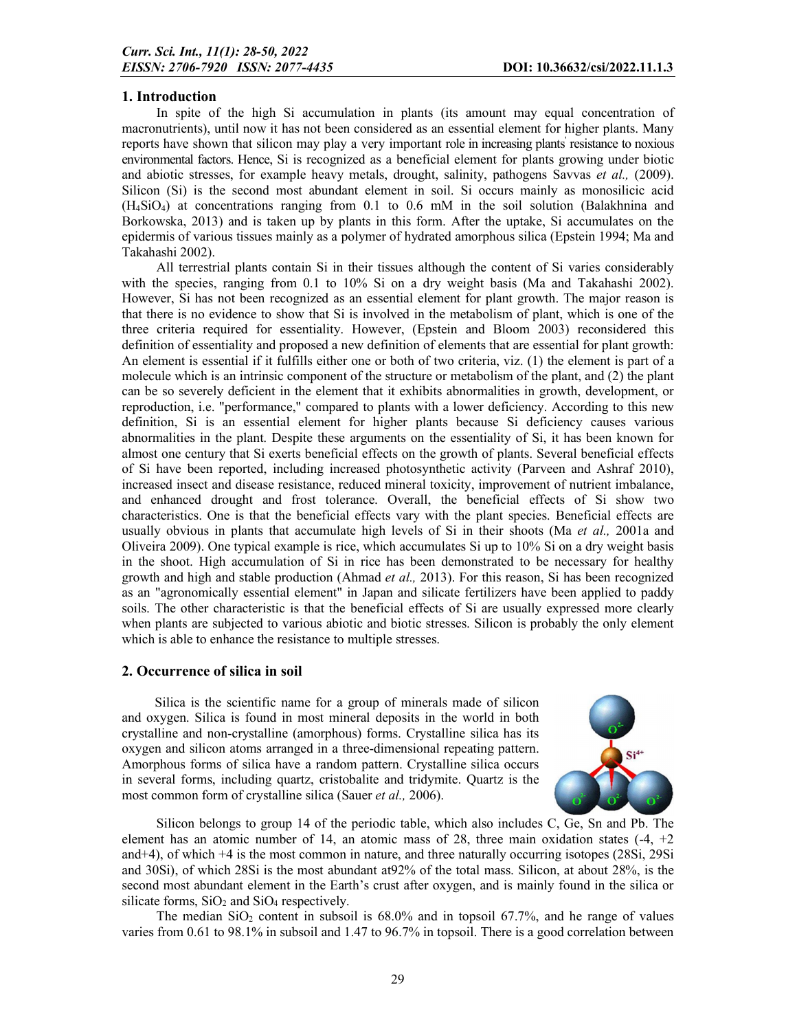## 1. Introduction

In spite of the high Si accumulation in plants (its amount may equal concentration of macronutrients), until now it has not been considered as an essential element for higher plants. Many reports have shown that silicon may play a very important role in increasing plants resistance to noxious environmental factors. Hence, Si is recognized as a beneficial element for plants growing under biotic and abiotic stresses, for example heavy metals, drought, salinity, pathogens Savvas *et al.,* (2009). Silicon (Si) is the second most abundant element in soil. Si occurs mainly as monosilicic acid (H4SiO4) at concentrations ranging from 0.1 to 0.6 mM in the soil solution (Balakhnina and Borkowska, 2013) and is taken up by plants in this form. After the uptake, Si accumulates on the epidermis of various tissues mainly as a polymer of hydrated amorphous silica (Epstein 1994; Ma and Takahashi 2002).

All terrestrial plants contain Si in their tissues although the content of Si varies considerably with the species, ranging from 0.1 to 10% Si on a dry weight basis (Ma and Takahashi 2002). However, Si has not been recognized as an essential element for plant growth. The major reason is that there is no evidence to show that Si is involved in the metabolism of plant, which is one of the three criteria required for essentiality. However, (Epstein and Bloom 2003) reconsidered this definition of essentiality and proposed a new definition of elements that are essential for plant growth: An element is essential if it fulfills either one or both of two criteria, viz. (1) the element is part of a molecule which is an intrinsic component of the structure or metabolism of the plant, and (2) the plant can be so severely deficient in the element that it exhibits abnormalities in growth, development, or reproduction, i.e. "performance," compared to plants with a lower deficiency. According to this new definition, Si is an essential element for higher plants because Si deficiency causes various abnormalities in the plant. Despite these arguments on the essentiality of Si, it has been known for almost one century that Si exerts beneficial effects on the growth of plants. Several beneficial effects of Si have been reported, including increased photosynthetic activity (Parveen and Ashraf 2010), increased insect and disease resistance, reduced mineral toxicity, improvement of nutrient imbalance, and enhanced drought and frost tolerance. Overall, the beneficial effects of Si show two characteristics. One is that the beneficial effects vary with the plant species. Beneficial effects are usually obvious in plants that accumulate high levels of Si in their shoots (Ma *et al.,* 2001a and Oliveira 2009). One typical example is rice, which accumulates Si up to 10% Si on a dry weight basis in the shoot. High accumulation of Si in rice has been demonstrated to be necessary for healthy growth and high and stable production (Ahmad *et al.,* 2013). For this reason, Si has been recognized as an "agronomically essential element" in Japan and silicate fertilizers have been applied to paddy soils. The other characteristic is that the beneficial effects of Si are usually expressed more clearly when plants are subjected to various abiotic and biotic stresses. Silicon is probably the only element which is able to enhance the resistance to multiple stresses.

### 2. Occurrence of silica in soil

Silica is the scientific name for a group of minerals made of silicon and oxygen. Silica is found in most mineral deposits in the world in both crystalline and non-crystalline (amorphous) forms. Crystalline silica has its oxygen and silicon atoms arranged in a three-dimensional repeating pattern. Amorphous forms of silica have a random pattern. Crystalline silica occurs in several forms, including quartz, cristobalite and tridymite. Quartz is the most common form of crystalline silica (Sauer *et al.,* 2006).



Silicon belongs to group 14 of the periodic table, which also includes C, Ge, Sn and Pb. The element has an atomic number of 14, an atomic mass of 28, three main oxidation states  $(-4, +2)$ and+4), of which +4 is the most common in nature, and three naturally occurring isotopes (28Si, 29Si and 30Si), of which 28Si is the most abundant at92% of the total mass. Silicon, at about 28%, is the second most abundant element in the Earth's crust after oxygen, and is mainly found in the silica or silicate forms,  $SiO<sub>2</sub>$  and  $SiO<sub>4</sub>$  respectively.

The median  $SiO<sub>2</sub>$  content in subsoil is  $68.0\%$  and in topsoil  $67.7\%$ , and he range of values varies from 0.61 to 98.1% in subsoil and 1.47 to 96.7% in topsoil. There is a good correlation between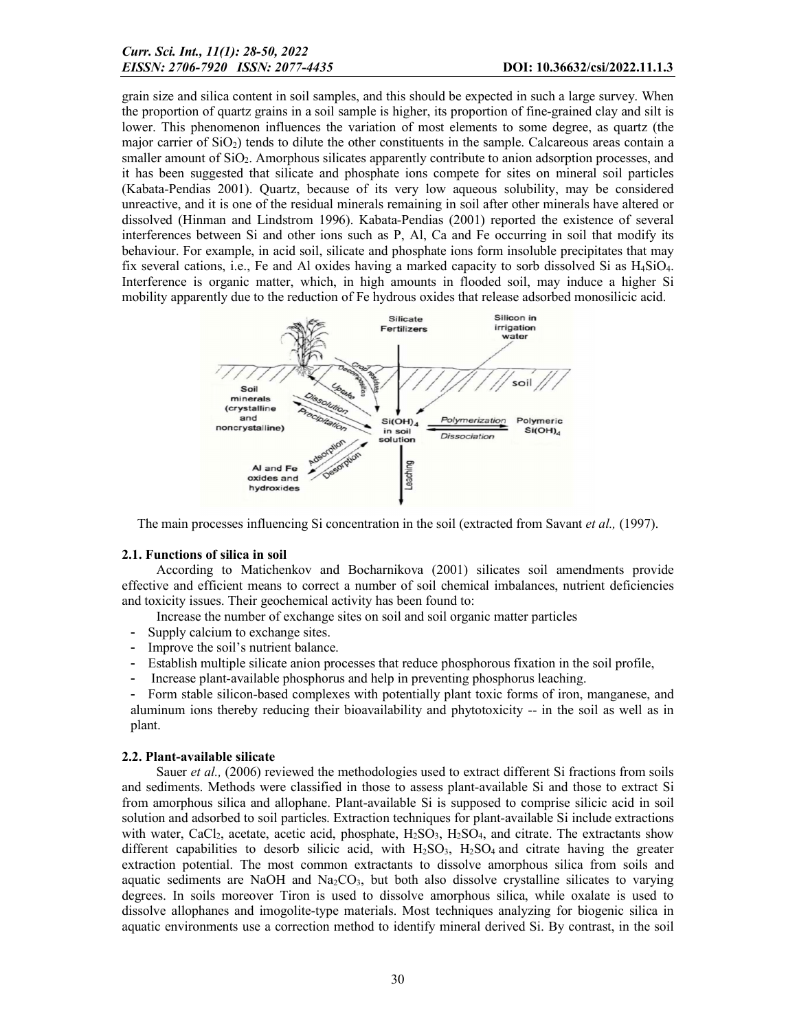grain size and silica content in soil samples, and this should be expected in such a large survey. When the proportion of quartz grains in a soil sample is higher, its proportion of fine-grained clay and silt is lower. This phenomenon influences the variation of most elements to some degree, as quartz (the major carrier of  $SiO<sub>2</sub>$ ) tends to dilute the other constituents in the sample. Calcareous areas contain a smaller amount of SiO<sub>2</sub>. Amorphous silicates apparently contribute to anion adsorption processes, and it has been suggested that silicate and phosphate ions compete for sites on mineral soil particles (Kabata-Pendias 2001). Quartz, because of its very low aqueous solubility, may be considered unreactive, and it is one of the residual minerals remaining in soil after other minerals have altered or dissolved (Hinman and Lindstrom 1996). Kabata-Pendias (2001) reported the existence of several interferences between Si and other ions such as P, Al, Ca and Fe occurring in soil that modify its behaviour. For example, in acid soil, silicate and phosphate ions form insoluble precipitates that may fix several cations, i.e., Fe and Al oxides having a marked capacity to sorb dissolved Si as  $H_4SiO_4$ . Interference is organic matter, which, in high amounts in flooded soil, may induce a higher Si mobility apparently due to the reduction of Fe hydrous oxides that release adsorbed monosilicic acid.



The main processes influencing Si concentration in the soil (extracted from Savant *et al.,* (1997).

### 2.1. Functions of silica in soil

According to Matichenkov and Bocharnikova (2001) silicates soil amendments provide effective and efficient means to correct a number of soil chemical imbalances, nutrient deficiencies and toxicity issues. Their geochemical activity has been found to:

Increase the number of exchange sites on soil and soil organic matter particles

- Supply calcium to exchange sites.
- Improve the soil's nutrient balance.
- Establish multiple silicate anion processes that reduce phosphorous fixation in the soil profile,
- Increase plant-available phosphorus and help in preventing phosphorus leaching.

Form stable silicon-based complexes with potentially plant toxic forms of iron, manganese, and aluminum ions thereby reducing their bioavailability and phytotoxicity -- in the soil as well as in plant.

#### 2.2. Plant-available silicate

Sauer *et al.*, (2006) reviewed the methodologies used to extract different Si fractions from soils and sediments. Methods were classified in those to assess plant-available Si and those to extract Si from amorphous silica and allophane. Plant-available Si is supposed to comprise silicic acid in soil solution and adsorbed to soil particles. Extraction techniques for plant-available Si include extractions with water, CaCl<sub>2</sub>, acetate, acetic acid, phosphate,  $H_2SO_3$ ,  $H_2SO_4$ , and citrate. The extractants show different capabilities to desorb silicic acid, with  $H_2SO_3$ ,  $H_2SO_4$  and citrate having the greater extraction potential. The most common extractants to dissolve amorphous silica from soils and aquatic sediments are NaOH and Na<sub>2</sub>CO<sub>3</sub>, but both also dissolve crystalline silicates to varying degrees. In soils moreover Tiron is used to dissolve amorphous silica, while oxalate is used to dissolve allophanes and imogolite-type materials. Most techniques analyzing for biogenic silica in aquatic environments use a correction method to identify mineral derived Si. By contrast, in the soil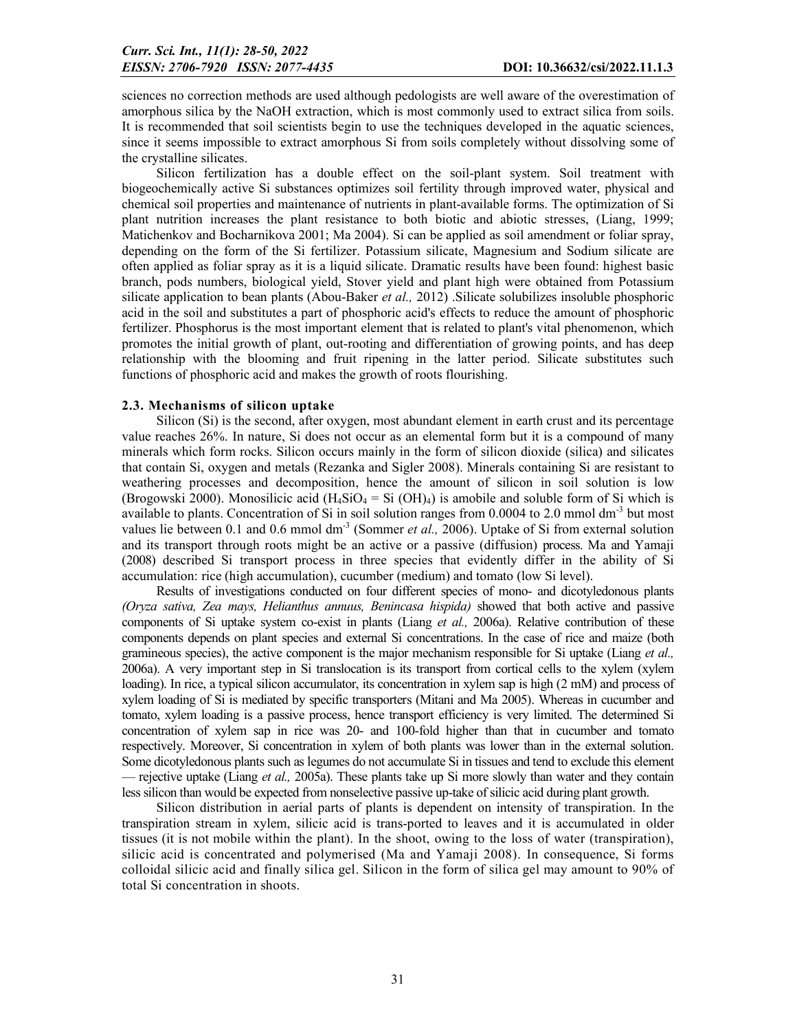sciences no correction methods are used although pedologists are well aware of the overestimation of amorphous silica by the NaOH extraction, which is most commonly used to extract silica from soils. It is recommended that soil scientists begin to use the techniques developed in the aquatic sciences, since it seems impossible to extract amorphous Si from soils completely without dissolving some of the crystalline silicates.

Silicon fertilization has a double effect on the soil-plant system. Soil treatment with biogeochemically active Si substances optimizes soil fertility through improved water, physical and chemical soil properties and maintenance of nutrients in plant-available forms. The optimization of Si plant nutrition increases the plant resistance to both biotic and abiotic stresses, (Liang, 1999; Matichenkov and Bocharnikova 2001; Ma 2004). Si can be applied as soil amendment or foliar spray, depending on the form of the Si fertilizer. Potassium silicate, Magnesium and Sodium silicate are often applied as foliar spray as it is a liquid silicate. Dramatic results have been found: highest basic branch, pods numbers, biological yield, Stover yield and plant high were obtained from Potassium silicate application to bean plants (Abou-Baker *et al.,* 2012) .Silicate solubilizes insoluble phosphoric acid in the soil and substitutes a part of phosphoric acid's effects to reduce the amount of phosphoric fertilizer. Phosphorus is the most important element that is related to plant's vital phenomenon, which promotes the initial growth of plant, out-rooting and differentiation of growing points, and has deep relationship with the blooming and fruit ripening in the latter period. Silicate substitutes such functions of phosphoric acid and makes the growth of roots flourishing.

### 2.3. Mechanisms of silicon uptake

Silicon (Si) is the second, after oxygen, most abundant element in earth crust and its percentage value reaches 26%. In nature, Si does not occur as an elemental form but it is a compound of many minerals which form rocks. Silicon occurs mainly in the form of silicon dioxide (silica) and silicates that contain Si, oxygen and metals (Rezanka and Sigler 2008). Minerals containing Si are resistant to weathering processes and decomposition, hence the amount of silicon in soil solution is low (Brogowski 2000). Monosilicic acid (H<sub>4</sub>SiO<sub>4</sub> = Si (OH)<sub>4</sub>) is amobile and soluble form of Si which is available to plants. Concentration of Si in soil solution ranges from  $0.0004$  to 2.0 mmol dm<sup>-3</sup> but most values lie between 0.1 and 0.6 mmol dm<sup>-3</sup> (Sommer *et al.*, 2006). Uptake of Si from external solution and its transport through roots might be an active or a passive (diffusion) process. Ma and Yamaji (2008) described Si transport process in three species that evidently differ in the ability of Si accumulation: rice (high accumulation), cucumber (medium) and tomato (low Si level).

Results of investigations conducted on four different species of mono- and dicotyledonous plants *(Oryza sativa, Zea mays, Helianthus annuus, Benincasa hispida)* showed that both active and passive components of Si uptake system co-exist in plants (Liang *et al.,* 2006a). Relative contribution of these components depends on plant species and external Si concentrations. In the case of rice and maize (both gramineous species), the active component is the major mechanism responsible for Si uptake (Liang *et al.,*  2006a). A very important step in Si translocation is its transport from cortical cells to the xylem (xylem loading). In rice, a typical silicon accumulator, its concentration in xylem sap is high (2 mM) and process of xylem loading of Si is mediated by specific transporters (Mitani and Ma 2005). Whereas in cucumber and tomato, xylem loading is a passive process, hence transport efficiency is very limited. The determined Si concentration of xylem sap in rice was 20- and 100-fold higher than that in cucumber and tomato respectively. Moreover, Si concentration in xylem of both plants was lower than in the external solution. Some dicotyledonous plants such as legumes do not accumulate Si in tissues and tend to exclude this element — rejective uptake (Liang *et al.,* 2005a). These plants take up Si more slowly than water and they contain less silicon than would be expected from nonselective passive up-take of silicic acid during plant growth.

Silicon distribution in aerial parts of plants is dependent on intensity of transpiration. In the transpiration stream in xylem, silicic acid is trans-ported to leaves and it is accumulated in older tissues (it is not mobile within the plant). In the shoot, owing to the loss of water (transpiration), silicic acid is concentrated and polymerised (Ma and Yamaji 2008). In consequence, Si forms colloidal silicic acid and finally silica gel. Silicon in the form of silica gel may amount to 90% of total Si concentration in shoots.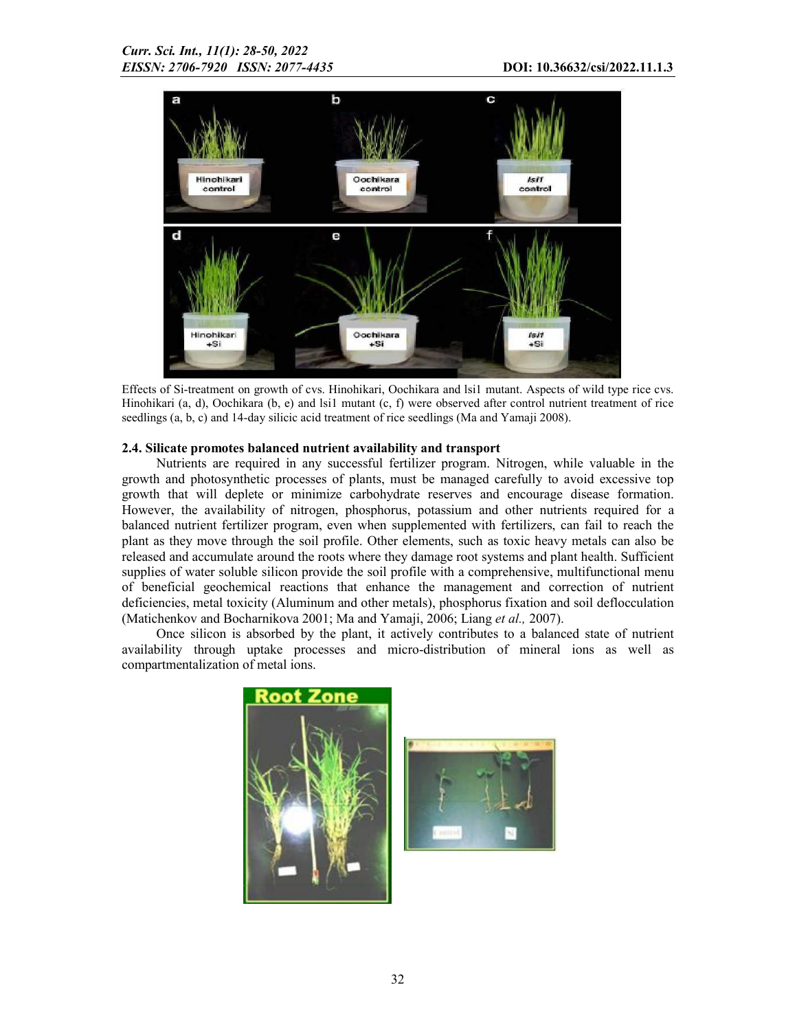

Effects of Si-treatment on growth of cvs. Hinohikari, Oochikara and lsi1 mutant. Aspects of wild type rice cvs. Hinohikari (a, d), Oochikara (b, e) and lsi1 mutant (c, f) were observed after control nutrient treatment of rice seedlings (a, b, c) and 14-day silicic acid treatment of rice seedlings (Ma and Yamaji 2008).

## 2.4. Silicate promotes balanced nutrient availability and transport

Nutrients are required in any successful fertilizer program. Nitrogen, while valuable in the growth and photosynthetic processes of plants, must be managed carefully to avoid excessive top growth that will deplete or minimize carbohydrate reserves and encourage disease formation. However, the availability of nitrogen, phosphorus, potassium and other nutrients required for a balanced nutrient fertilizer program, even when supplemented with fertilizers, can fail to reach the plant as they move through the soil profile. Other elements, such as toxic heavy metals can also be released and accumulate around the roots where they damage root systems and plant health. Sufficient supplies of water soluble silicon provide the soil profile with a comprehensive, multifunctional menu of beneficial geochemical reactions that enhance the management and correction of nutrient deficiencies, metal toxicity (Aluminum and other metals), phosphorus fixation and soil deflocculation (Matichenkov and Bocharnikova 2001; Ma and Yamaji, 2006; Liang *et al.,* 2007).

Once silicon is absorbed by the plant, it actively contributes to a balanced state of nutrient availability through uptake processes and micro-distribution of mineral ions as well as compartmentalization of metal ions.

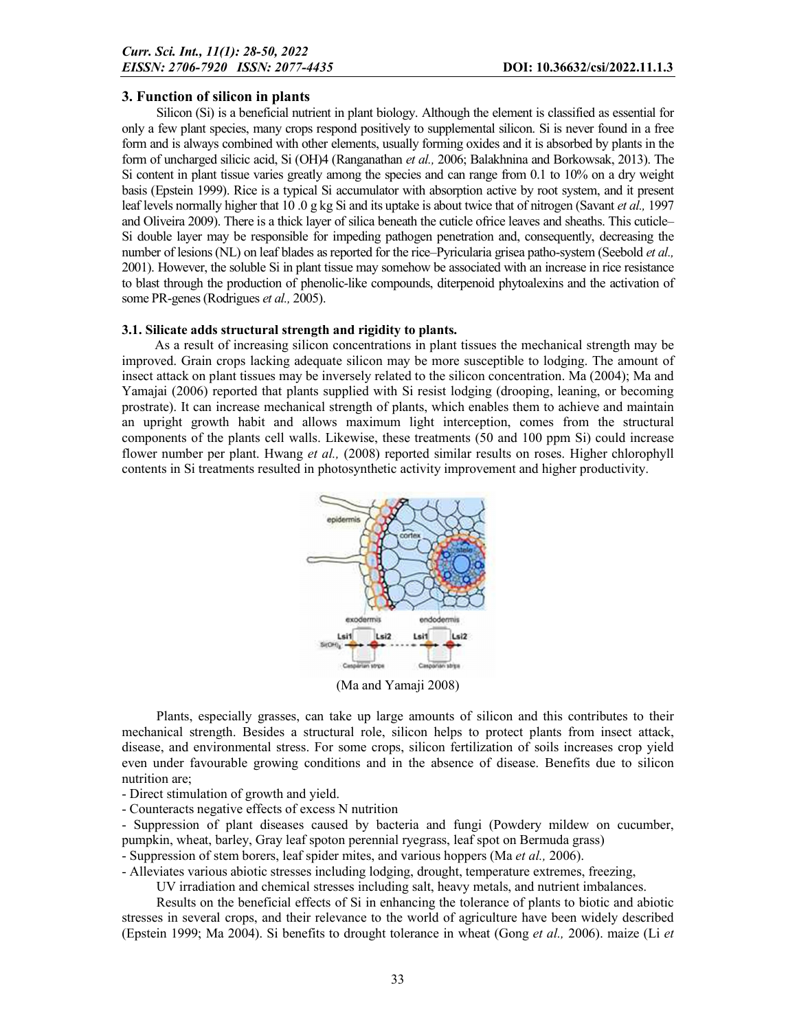### 3. Function of silicon in plants

Silicon (Si) is a beneficial nutrient in plant biology. Although the element is classified as essential for only a few plant species, many crops respond positively to supplemental silicon. Si is never found in a free form and is always combined with other elements, usually forming oxides and it is absorbed by plants in the form of uncharged silicic acid, Si (OH)4 (Ranganathan *et al.,* 2006; Balakhnina and Borkowsak, 2013). The Si content in plant tissue varies greatly among the species and can range from 0.1 to 10% on a dry weight basis (Epstein 1999). Rice is a typical Si accumulator with absorption active by root system, and it present leaf levels normally higher that 10 .0 g kg Si and its uptake is about twice that of nitrogen (Savant *et al.,* 1997 and Oliveira 2009). There is a thick layer of silica beneath the cuticle ofrice leaves and sheaths. This cuticle– Si double layer may be responsible for impeding pathogen penetration and, consequently, decreasing the number of lesions (NL) on leaf blades as reported for the rice–Pyricularia grisea patho-system (Seebold *et al.,*  2001). However, the soluble Si in plant tissue may somehow be associated with an increase in rice resistance to blast through the production of phenolic-like compounds, diterpenoid phytoalexins and the activation of some PR-genes (Rodrigues *et al.,* 2005).

#### 3.1. Silicate adds structural strength and rigidity to plants.

As a result of increasing silicon concentrations in plant tissues the mechanical strength may be improved. Grain crops lacking adequate silicon may be more susceptible to lodging. The amount of insect attack on plant tissues may be inversely related to the silicon concentration. Ma (2004); Ma and Yamajai (2006) reported that plants supplied with Si resist lodging (drooping, leaning, or becoming prostrate). It can increase mechanical strength of plants, which enables them to achieve and maintain an upright growth habit and allows maximum light interception, comes from the structural components of the plants cell walls. Likewise, these treatments (50 and 100 ppm Si) could increase flower number per plant. Hwang *et al.*, (2008) reported similar results on roses. Higher chlorophyll contents in Si treatments resulted in photosynthetic activity improvement and higher productivity.



Plants, especially grasses, can take up large amounts of silicon and this contributes to their mechanical strength. Besides a structural role, silicon helps to protect plants from insect attack, disease, and environmental stress. For some crops, silicon fertilization of soils increases crop yield even under favourable growing conditions and in the absence of disease. Benefits due to silicon nutrition are;

- Direct stimulation of growth and yield.

- Counteracts negative effects of excess N nutrition

- Suppression of plant diseases caused by bacteria and fungi (Powdery mildew on cucumber, pumpkin, wheat, barley, Gray leaf spoton perennial ryegrass, leaf spot on Bermuda grass)

- Suppression of stem borers, leaf spider mites, and various hoppers (Ma *et al.,* 2006).

- Alleviates various abiotic stresses including lodging, drought, temperature extremes, freezing,

UV irradiation and chemical stresses including salt, heavy metals, and nutrient imbalances.

Results on the beneficial effects of Si in enhancing the tolerance of plants to biotic and abiotic stresses in several crops, and their relevance to the world of agriculture have been widely described (Epstein 1999; Ma 2004). Si benefits to drought tolerance in wheat (Gong *et al.,* 2006). maize (Li *et*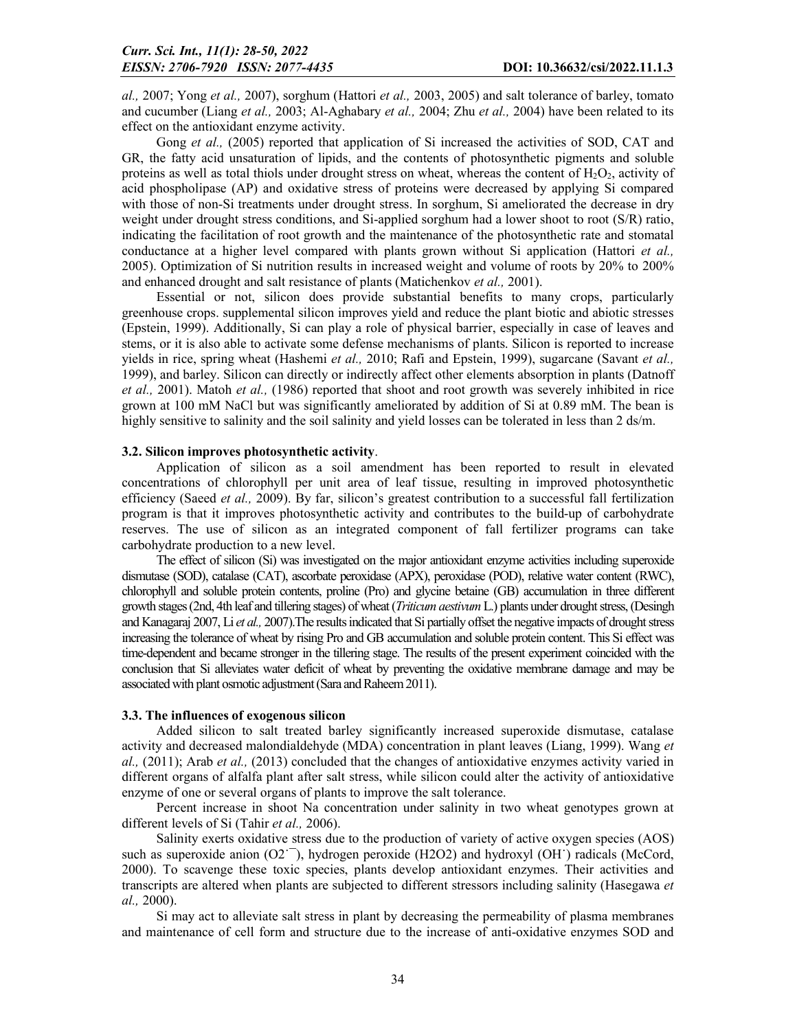*al.,* 2007; Yong *et al.,* 2007), sorghum (Hattori *et al.,* 2003, 2005) and salt tolerance of barley, tomato and cucumber (Liang *et al.,* 2003; Al-Aghabary *et al.,* 2004; Zhu *et al.,* 2004) have been related to its effect on the antioxidant enzyme activity.

Gong *et al.*, (2005) reported that application of Si increased the activities of SOD, CAT and GR, the fatty acid unsaturation of lipids, and the contents of photosynthetic pigments and soluble proteins as well as total thiols under drought stress on wheat, whereas the content of  $H_2O_2$ , activity of acid phospholipase (AP) and oxidative stress of proteins were decreased by applying Si compared with those of non-Si treatments under drought stress. In sorghum, Si ameliorated the decrease in dry weight under drought stress conditions, and Si-applied sorghum had a lower shoot to root (S/R) ratio, indicating the facilitation of root growth and the maintenance of the photosynthetic rate and stomatal conductance at a higher level compared with plants grown without Si application (Hattori *et al.,*  2005). Optimization of Si nutrition results in increased weight and volume of roots by 20% to 200% and enhanced drought and salt resistance of plants (Matichenkov *et al.,* 2001).

Essential or not, silicon does provide substantial benefits to many crops, particularly greenhouse crops. supplemental silicon improves yield and reduce the plant biotic and abiotic stresses (Epstein, 1999). Additionally, Si can play a role of physical barrier, especially in case of leaves and stems, or it is also able to activate some defense mechanisms of plants. Silicon is reported to increase yields in rice, spring wheat (Hashemi *et al.,* 2010; Rafi and Epstein, 1999), sugarcane (Savant *et al.,*  1999), and barley. Silicon can directly or indirectly affect other elements absorption in plants (Datnoff *et al.,* 2001). Matoh *et al.,* (1986) reported that shoot and root growth was severely inhibited in rice grown at 100 mM NaCl but was significantly ameliorated by addition of Si at 0.89 mM. The bean is highly sensitive to salinity and the soil salinity and yield losses can be tolerated in less than 2 ds/m.

## 3.2. Silicon improves photosynthetic activity.

Application of silicon as a soil amendment has been reported to result in elevated concentrations of chlorophyll per unit area of leaf tissue, resulting in improved photosynthetic efficiency (Saeed *et al.,* 2009). By far, silicon's greatest contribution to a successful fall fertilization program is that it improves photosynthetic activity and contributes to the build-up of carbohydrate reserves. The use of silicon as an integrated component of fall fertilizer programs can take carbohydrate production to a new level.

The effect of silicon (Si) was investigated on the major antioxidant enzyme activities including superoxide dismutase (SOD), catalase (CAT), ascorbate peroxidase (APX), peroxidase (POD), relative water content (RWC), chlorophyll and soluble protein contents, proline (Pro) and glycine betaine (GB) accumulation in three different growth stages (2nd, 4th leaf and tillering stages) of wheat (*Triticum aestivum* L.) plants under drought stress, (Desingh and Kanagaraj 2007, Li *et al.,* 2007).The results indicated that Si partially offset the negative impacts of drought stress increasing the tolerance of wheat by rising Pro and GB accumulation and soluble protein content. This Si effect was time-dependent and became stronger in the tillering stage. The results of the present experiment coincided with the conclusion that Si alleviates water deficit of wheat by preventing the oxidative membrane damage and may be associated with plant osmotic adjustment (Sara and Raheem 2011).

#### 3.3. The influences of exogenous silicon

Added silicon to salt treated barley significantly increased superoxide dismutase, catalase activity and decreased malondialdehyde (MDA) concentration in plant leaves (Liang, 1999). Wang *et al.,* (2011); Arab *et al.,* (2013) concluded that the changes of antioxidative enzymes activity varied in different organs of alfalfa plant after salt stress, while silicon could alter the activity of antioxidative enzyme of one or several organs of plants to improve the salt tolerance.

Percent increase in shoot Na concentration under salinity in two wheat genotypes grown at different levels of Si (Tahir *et al.,* 2006).

Salinity exerts oxidative stress due to the production of variety of active oxygen species (AOS) such as superoxide anion (O2<sup>·</sup>), hydrogen peroxide (H2O2) and hydroxyl (OH<sup>·</sup>) radicals (McCord, 2000). To scavenge these toxic species, plants develop antioxidant enzymes. Their activities and transcripts are altered when plants are subjected to different stressors including salinity (Hasegawa *et al.,* 2000).

Si may act to alleviate salt stress in plant by decreasing the permeability of plasma membranes and maintenance of cell form and structure due to the increase of anti-oxidative enzymes SOD and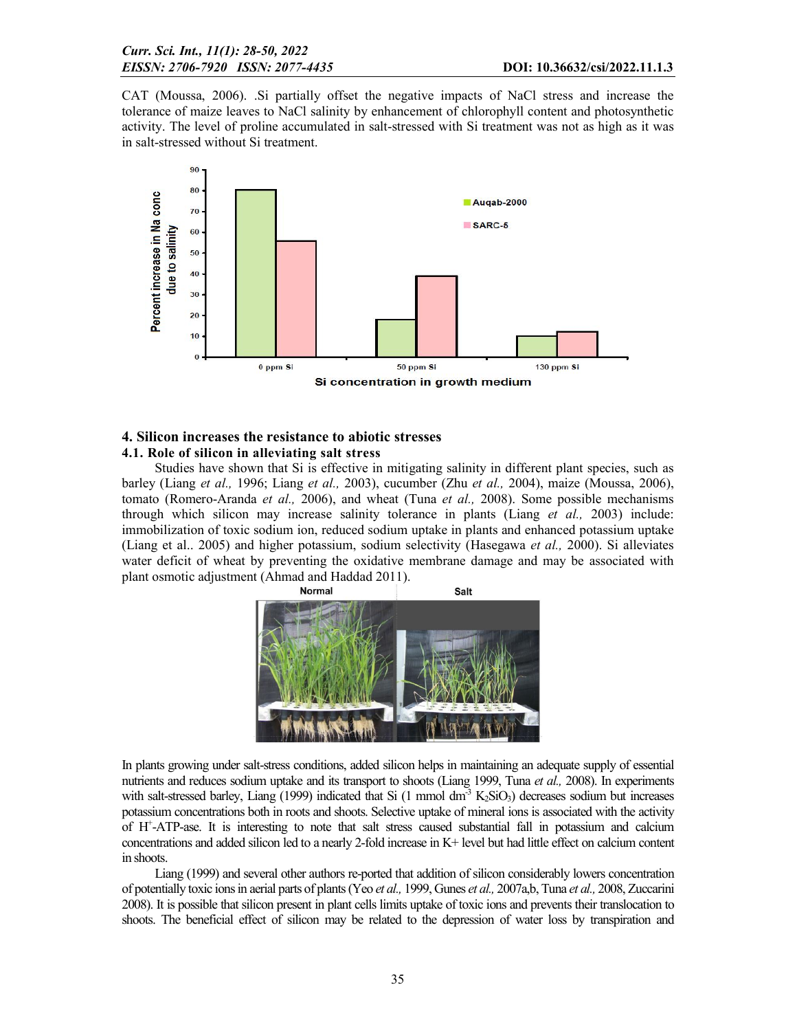CAT (Moussa, 2006). .Si partially offset the negative impacts of NaCl stress and increase the tolerance of maize leaves to NaCl salinity by enhancement of chlorophyll content and photosynthetic activity. The level of proline accumulated in salt-stressed with Si treatment was not as high as it was in salt-stressed without Si treatment.



## 4. Silicon increases the resistance to abiotic stresses 4.1. Role of silicon in alleviating salt stress

Studies have shown that Si is effective in mitigating salinity in different plant species, such as barley (Liang *et al.,* 1996; Liang *et al.,* 2003), cucumber (Zhu *et al.,* 2004), maize (Moussa, 2006), tomato (Romero-Aranda *et al.,* 2006), and wheat (Tuna *et al.,* 2008). Some possible mechanisms through which silicon may increase salinity tolerance in plants (Liang *et al.,* 2003) include: immobilization of toxic sodium ion, reduced sodium uptake in plants and enhanced potassium uptake (Liang et al.. 2005) and higher potassium, sodium selectivity (Hasegawa *et al.,* 2000). Si alleviates water deficit of wheat by preventing the oxidative membrane damage and may be associated with plant osmotic adjustment (Ahmad and Haddad 2011).



In plants growing under salt-stress conditions, added silicon helps in maintaining an adequate supply of essential nutrients and reduces sodium uptake and its transport to shoots (Liang 1999, Tuna *et al.,* 2008). In experiments with salt-stressed barley, Liang (1999) indicated that Si (1 mmol dm<sup>-3</sup> K<sub>2</sub>SiO<sub>3</sub>) decreases sodium but increases potassium concentrations both in roots and shoots. Selective uptake of mineral ions is associated with the activity of H+ -ATP-ase. It is interesting to note that salt stress caused substantial fall in potassium and calcium concentrations and added silicon led to a nearly 2-fold increase in K+ level but had little effect on calcium content in shoots.

Liang (1999) and several other authors re-ported that addition of silicon considerably lowers concentration of potentially toxic ions in aerial parts of plants (Yeo *et al.,* 1999, Gunes *et al.,* 2007a,b, Tuna *et al.,* 2008, Zuccarini 2008). It is possible that silicon present in plant cells limits uptake of toxic ions and prevents their translocation to shoots. The beneficial effect of silicon may be related to the depression of water loss by transpiration and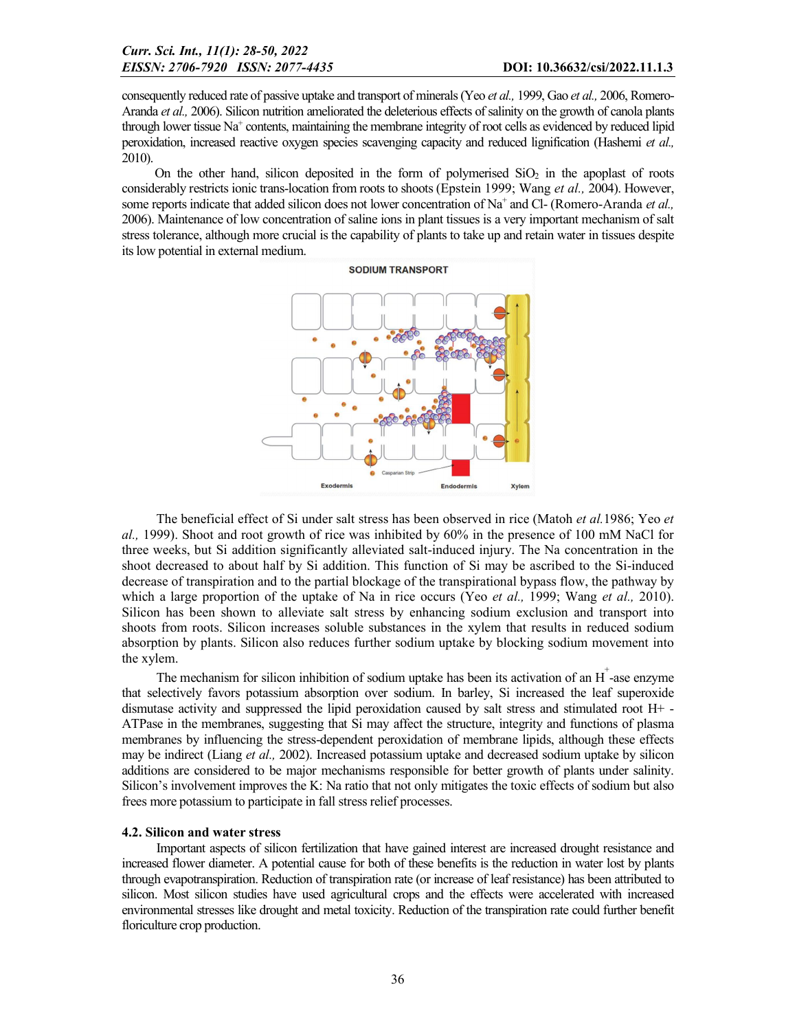consequently reduced rate of passive uptake and transport of minerals (Yeo *et al.,* 1999, Gao *et al.,* 2006, Romero-Aranda *et al.,* 2006). Silicon nutrition ameliorated the deleterious effects of salinity on the growth of canola plants through lower tissue  $Na<sup>+</sup>$  contents, maintaining the membrane integrity of root cells as evidenced by reduced lipid peroxidation, increased reactive oxygen species scavenging capacity and reduced lignification (Hashemi *et al.,*  2010).

On the other hand, silicon deposited in the form of polymerised  $SiO<sub>2</sub>$  in the apoplast of roots considerably restricts ionic trans-location from roots to shoots (Epstein 1999; Wang *et al.,* 2004). However, some reports indicate that added silicon does not lower concentration of Na<sup>+</sup> and Cl- (Romero-Aranda *et al.,* 2006). Maintenance of low concentration of saline ions in plant tissues is a very important mechanism of salt stress tolerance, although more crucial is the capability of plants to take up and retain water in tissues despite its low potential in external medium.



The beneficial effect of Si under salt stress has been observed in rice (Matoh *et al.*1986; Yeo *et al.,* 1999). Shoot and root growth of rice was inhibited by 60% in the presence of 100 mM NaCl for three weeks, but Si addition significantly alleviated salt-induced injury. The Na concentration in the shoot decreased to about half by Si addition. This function of Si may be ascribed to the Si-induced decrease of transpiration and to the partial blockage of the transpirational bypass flow, the pathway by which a large proportion of the uptake of Na in rice occurs (Yeo *et al.,* 1999; Wang *et al.,* 2010). Silicon has been shown to alleviate salt stress by enhancing sodium exclusion and transport into shoots from roots. Silicon increases soluble substances in the xylem that results in reduced sodium absorption by plants. Silicon also reduces further sodium uptake by blocking sodium movement into the xylem.

The mechanism for silicon inhibition of sodium uptake has been its activation of an  $H^{\dagger}$ -ase enzyme that selectively favors potassium absorption over sodium. In barley, Si increased the leaf superoxide dismutase activity and suppressed the lipid peroxidation caused by salt stress and stimulated root H+ - ATPase in the membranes, suggesting that Si may affect the structure, integrity and functions of plasma membranes by influencing the stress-dependent peroxidation of membrane lipids, although these effects may be indirect (Liang *et al.,* 2002). Increased potassium uptake and decreased sodium uptake by silicon additions are considered to be major mechanisms responsible for better growth of plants under salinity. Silicon's involvement improves the K: Na ratio that not only mitigates the toxic effects of sodium but also frees more potassium to participate in fall stress relief processes.

#### 4.2. Silicon and water stress

Important aspects of silicon fertilization that have gained interest are increased drought resistance and increased flower diameter. A potential cause for both of these benefits is the reduction in water lost by plants through evapotranspiration. Reduction of transpiration rate (or increase of leaf resistance) has been attributed to silicon. Most silicon studies have used agricultural crops and the effects were accelerated with increased environmental stresses like drought and metal toxicity. Reduction of the transpiration rate could further benefit floriculture crop production.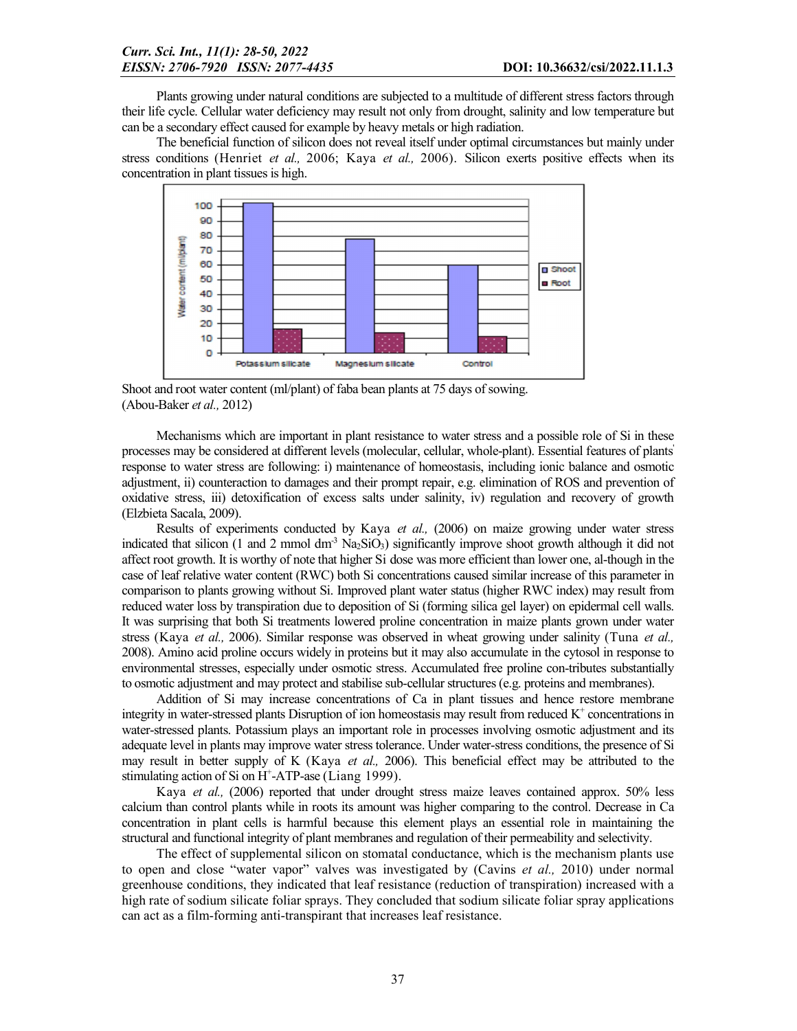Plants growing under natural conditions are subjected to a multitude of different stress factors through their life cycle. Cellular water deficiency may result not only from drought, salinity and low temperature but can be a secondary effect caused for example by heavy metals or high radiation.

The beneficial function of silicon does not reveal itself under optimal circumstances but mainly under stress conditions (Henriet *et al.,* 2006; Kaya *et al.,* 2006). Silicon exerts positive effects when its concentration in plant tissues is high.



Shoot and root water content (ml/plant) of faba bean plants at 75 days of sowing. (Abou-Baker *et al.,* 2012)

Mechanisms which are important in plant resistance to water stress and a possible role of Si in these processes may be considered at different levels (molecular, cellular, whole-plant). Essential features of plants' response to water stress are following: i) maintenance of homeostasis, including ionic balance and osmotic adjustment, ii) counteraction to damages and their prompt repair, e.g. elimination of ROS and prevention of oxidative stress, iii) detoxification of excess salts under salinity, iv) regulation and recovery of growth (Elzbieta Sacala, 2009).

Results of experiments conducted by Kaya *et al.,* (2006) on maize growing under water stress indicated that silicon (1 and 2 mmol dm<sup>-3</sup> Na<sub>2</sub>SiO<sub>3</sub>) significantly improve shoot growth although it did not affect root growth. It is worthy of note that higher Si dose was more efficient than lower one, al-though in the case of leaf relative water content (RWC) both Si concentrations caused similar increase of this parameter in comparison to plants growing without Si. Improved plant water status (higher RWC index) may result from reduced water loss by transpiration due to deposition of Si (forming silica gel layer) on epidermal cell walls. It was surprising that both Si treatments lowered proline concentration in maize plants grown under water stress (Kaya *et al.,* 2006). Similar response was observed in wheat growing under salinity (Tuna *et al.,*  2008). Amino acid proline occurs widely in proteins but it may also accumulate in the cytosol in response to environmental stresses, especially under osmotic stress. Accumulated free proline con-tributes substantially to osmotic adjustment and may protect and stabilise sub-cellular structures (e.g. proteins and membranes).

Addition of Si may increase concentrations of Ca in plant tissues and hence restore membrane integrity in water-stressed plants Disruption of ion homeostasis may result from reduced  $K^+$  concentrations in water-stressed plants. Potassium plays an important role in processes involving osmotic adjustment and its adequate level in plants may improve water stress tolerance. Under water-stress conditions, the presence of Si may result in better supply of K (Kaya *et al.,* 2006). This beneficial effect may be attributed to the stimulating action of Si on H<sup>+</sup>-ATP-ase (Liang 1999).

Kaya *et al.,* (2006) reported that under drought stress maize leaves contained approx. 50% less calcium than control plants while in roots its amount was higher comparing to the control. Decrease in Ca concentration in plant cells is harmful because this element plays an essential role in maintaining the structural and functional integrity of plant membranes and regulation of their permeability and selectivity.

The effect of supplemental silicon on stomatal conductance, which is the mechanism plants use to open and close "water vapor" valves was investigated by (Cavins *et al.,* 2010) under normal greenhouse conditions, they indicated that leaf resistance (reduction of transpiration) increased with a high rate of sodium silicate foliar sprays. They concluded that sodium silicate foliar spray applications can act as a film-forming anti-transpirant that increases leaf resistance.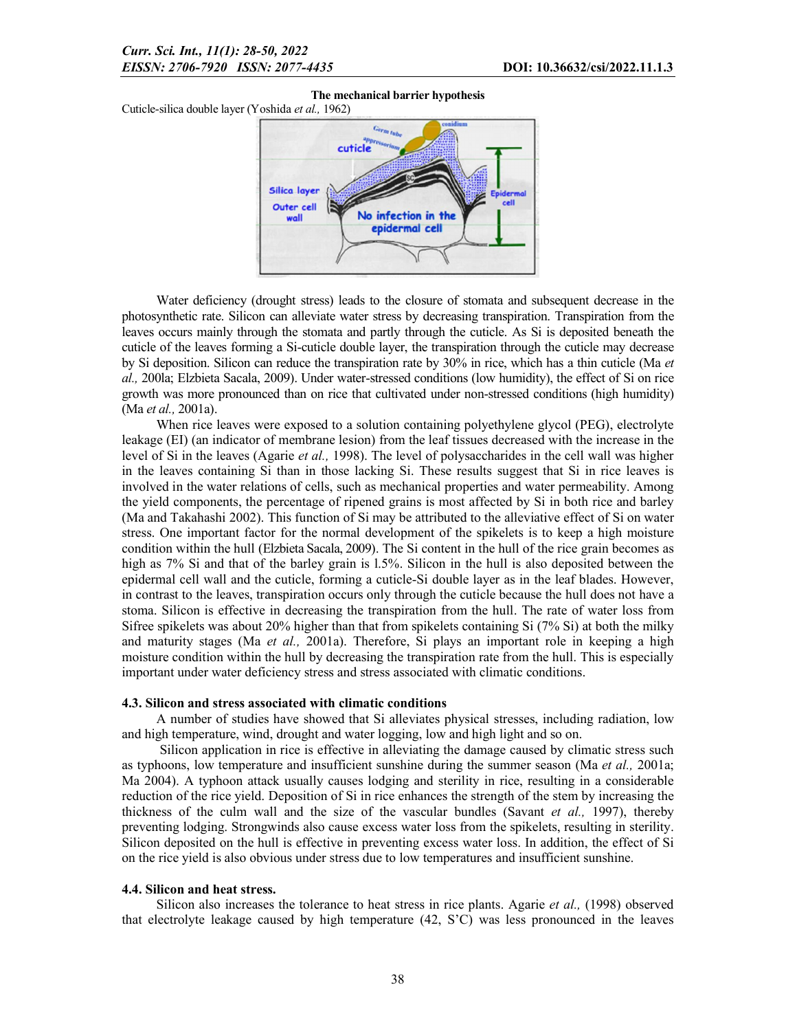#### The mechanical barrier hypothesis

Cuticle-silica double layer (Yoshida *et al.,* 1962)



Water deficiency (drought stress) leads to the closure of stomata and subsequent decrease in the photosynthetic rate. Silicon can alleviate water stress by decreasing transpiration. Transpiration from the leaves occurs mainly through the stomata and partly through the cuticle. As Si is deposited beneath the cuticle of the leaves forming a Si-cuticle double layer, the transpiration through the cuticle may decrease by Si deposition. Silicon can reduce the transpiration rate by 30% in rice, which has a thin cuticle (Ma *et al.,* 200la; Elzbieta Sacala, 2009). Under water-stressed conditions (low humidity), the effect of Si on rice growth was more pronounced than on rice that cultivated under non-stressed conditions (high humidity) (Ma *et al.,* 2001a).

When rice leaves were exposed to a solution containing polyethylene glycol (PEG), electrolyte leakage (EI) (an indicator of membrane lesion) from the leaf tissues decreased with the increase in the level of Si in the leaves (Agarie *et al.,* 1998). The level of polysaccharides in the cell wall was higher in the leaves containing Si than in those lacking Si. These results suggest that Si in rice leaves is involved in the water relations of cells, such as mechanical properties and water permeability. Among the yield components, the percentage of ripened grains is most affected by Si in both rice and barley (Ma and Takahashi 2002). This function of Si may be attributed to the alleviative effect of Si on water stress. One important factor for the normal development of the spikelets is to keep a high moisture condition within the hull (Elzbieta Sacala, 2009). The Si content in the hull of the rice grain becomes as high as 7% Si and that of the barley grain is l.5%. Silicon in the hull is also deposited between the epidermal cell wall and the cuticle, forming a cuticle-Si double layer as in the leaf blades. However, in contrast to the leaves, transpiration occurs only through the cuticle because the hull does not have a stoma. Silicon is effective in decreasing the transpiration from the hull. The rate of water loss from Sifree spikelets was about 20% higher than that from spikelets containing Si (7% Si) at both the milky and maturity stages (Ma *et al.,* 2001a). Therefore, Si plays an important role in keeping a high moisture condition within the hull by decreasing the transpiration rate from the hull. This is especially important under water deficiency stress and stress associated with climatic conditions.

#### 4.3. Silicon and stress associated with climatic conditions

A number of studies have showed that Si alleviates physical stresses, including radiation, low and high temperature, wind, drought and water logging, low and high light and so on.

Silicon application in rice is effective in alleviating the damage caused by climatic stress such as typhoons, low temperature and insufficient sunshine during the summer season (Ma *et al.,* 2001a; Ma 2004). A typhoon attack usually causes lodging and sterility in rice, resulting in a considerable reduction of the rice yield. Deposition of Si in rice enhances the strength of the stem by increasing the thickness of the culm wall and the size of the vascular bundles (Savant *et al.,* 1997), thereby preventing lodging. Strongwinds also cause excess water loss from the spikelets, resulting in sterility. Silicon deposited on the hull is effective in preventing excess water loss. In addition, the effect of Si on the rice yield is also obvious under stress due to low temperatures and insufficient sunshine.

#### 4.4. Silicon and heat stress.

Silicon also increases the tolerance to heat stress in rice plants. Agarie *et al.,* (1998) observed that electrolyte leakage caused by high temperature (42, S'C) was less pronounced in the leaves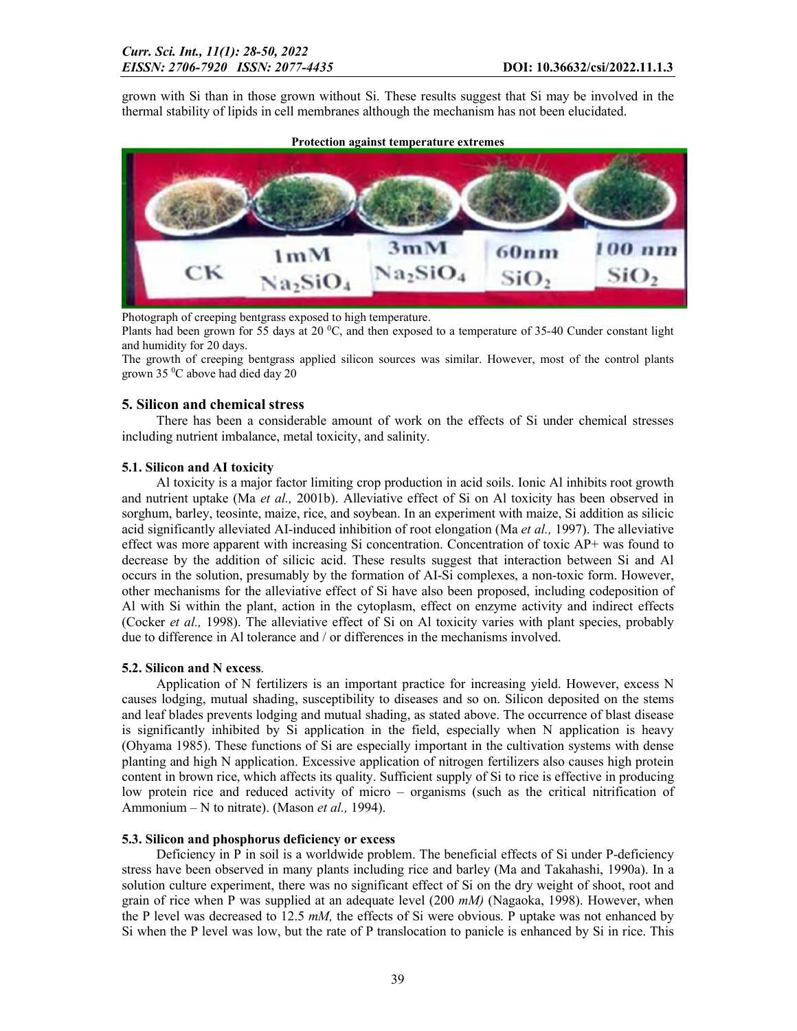grown with Si than in those grown without Si. These results suggest that Si may be involved in the thermal stability of lipids in cell membranes although the mechanism has not been elucidated.



#### Protection against temperature extremes

Photograph of creeping bentgrass exposed to high temperature.

Plants had been grown for 55 days at 20 <sup>o</sup>C, and then exposed to a temperature of 35-40 Cunder constant light and humidity for 20 days.

The growth of creeping bentgrass applied silicon sources was similar. However, most of the control plants grown 35 °C above had died day 20

## 5. Silicon and chemical stress

There has been a considerable amount of work on the effects of Si under chemical stresses including nutrient imbalance, metal toxicity, and salinity.

## 5.1. Silicon and AI toxicity

Al toxicity is a major factor limiting crop production in acid soils. Ionic Al inhibits root growth and nutrient uptake (Ma *et al.,* 2001b). Alleviative effect of Si on Al toxicity has been observed in sorghum, barley, teosinte, maize, rice, and soybean. In an experiment with maize, Si addition as silicic acid significantly alleviated AI-induced inhibition of root elongation (Ma *et al.,* 1997). The alleviative effect was more apparent with increasing Si concentration. Concentration of toxic AP+ was found to decrease by the addition of silicic acid. These results suggest that interaction between Si and Al occurs in the solution, presumably by the formation of AI-Si complexes, a non-toxic form. However, other mechanisms for the alleviative effect of Si have also been proposed, including codeposition of Al with Si within the plant, action in the cytoplasm, effect on enzyme activity and indirect effects (Cocker *et al.,* 1998). The alleviative effect of Si on Al toxicity varies with plant species, probably due to difference in Al tolerance and / or differences in the mechanisms involved.

## 5.2. Silicon and N excess.

Application of N fertilizers is an important practice for increasing yield. However, excess N causes lodging, mutual shading, susceptibility to diseases and so on. Silicon deposited on the stems and leaf blades prevents lodging and mutual shading, as stated above. The occurrence of blast disease is significantly inhibited by Si application in the field, especially when N application is heavy (Ohyama 1985). These functions of Si are especially important in the cultivation systems with dense planting and high N application. Excessive application of nitrogen fertilizers also causes high protein content in brown rice, which affects its quality. Sufficient supply of Si to rice is effective in producing low protein rice and reduced activity of micro – organisms (such as the critical nitrification of Ammonium – N to nitrate). (Mason *et al.,* 1994).

## 5.3. Silicon and phosphorus deficiency or excess

Deficiency in P in soil is a worldwide problem. The beneficial effects of Si under P-deficiency stress have been observed in many plants including rice and barley (Ma and Takahashi, 1990a). In a solution culture experiment, there was no significant effect of Si on the dry weight of shoot, root and grain of rice when P was supplied at an adequate level (200 *mM)* (Nagaoka, 1998). However, when the P level was decreased to 12.5 *mM,* the effects of Si were obvious. P uptake was not enhanced by Si when the P level was low, but the rate of P translocation to panicle is enhanced by Si in rice. This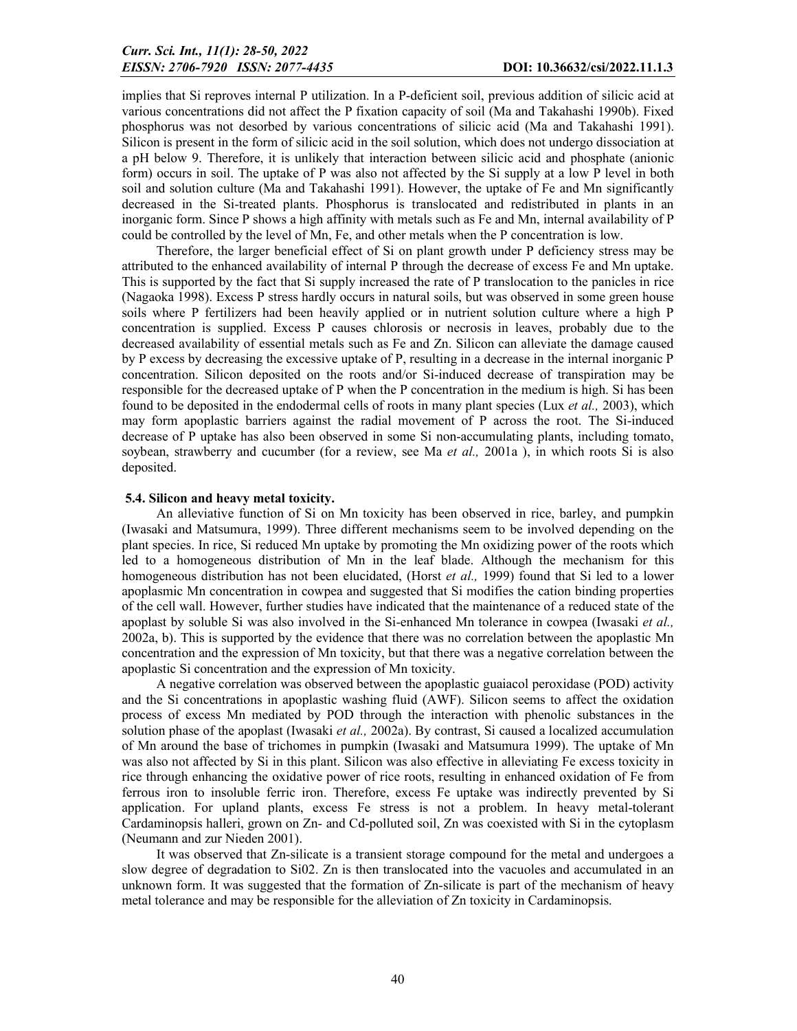implies that Si reproves internal P utilization. In a P-deficient soil, previous addition of silicic acid at various concentrations did not affect the P fixation capacity of soil (Ma and Takahashi 1990b). Fixed phosphorus was not desorbed by various concentrations of silicic acid (Ma and Takahashi 1991). Silicon is present in the form of silicic acid in the soil solution, which does not undergo dissociation at a pH below 9. Therefore, it is unlikely that interaction between silicic acid and phosphate (anionic form) occurs in soil. The uptake of P was also not affected by the Si supply at a low P level in both soil and solution culture (Ma and Takahashi 1991). However, the uptake of Fe and Mn significantly decreased in the Si-treated plants. Phosphorus is translocated and redistributed in plants in an inorganic form. Since P shows a high affinity with metals such as Fe and Mn, internal availability of P could be controlled by the level of Mn, Fe, and other metals when the P concentration is low.

Therefore, the larger beneficial effect of Si on plant growth under P deficiency stress may be attributed to the enhanced availability of internal P through the decrease of excess Fe and Mn uptake. This is supported by the fact that Si supply increased the rate of P translocation to the panicles in rice (Nagaoka 1998). Excess P stress hardly occurs in natural soils, but was observed in some green house soils where P fertilizers had been heavily applied or in nutrient solution culture where a high P concentration is supplied. Excess P causes chlorosis or necrosis in leaves, probably due to the decreased availability of essential metals such as Fe and Zn. Silicon can alleviate the damage caused by P excess by decreasing the excessive uptake of P, resulting in a decrease in the internal inorganic P concentration. Silicon deposited on the roots and/or Si-induced decrease of transpiration may be responsible for the decreased uptake of P when the P concentration in the medium is high. Si has been found to be deposited in the endodermal cells of roots in many plant species (Lux *et al.,* 2003), which may form apoplastic barriers against the radial movement of P across the root. The Si-induced decrease of P uptake has also been observed in some Si non-accumulating plants, including tomato, soybean, strawberry and cucumber (for a review, see Ma *et al.,* 2001a ), in which roots Si is also deposited.

#### 5.4. Silicon and heavy metal toxicity.

An alleviative function of Si on Mn toxicity has been observed in rice, barley, and pumpkin (Iwasaki and Matsumura, 1999). Three different mechanisms seem to be involved depending on the plant species. In rice, Si reduced Mn uptake by promoting the Mn oxidizing power of the roots which led to a homogeneous distribution of Mn in the leaf blade. Although the mechanism for this homogeneous distribution has not been elucidated, (Horst *et al.,* 1999) found that Si led to a lower apoplasmic Mn concentration in cowpea and suggested that Si modifies the cation binding properties of the cell wall. However, further studies have indicated that the maintenance of a reduced state of the apoplast by soluble Si was also involved in the Si-enhanced Mn tolerance in cowpea (Iwasaki *et al.,*  2002a, b). This is supported by the evidence that there was no correlation between the apoplastic Mn concentration and the expression of Mn toxicity, but that there was a negative correlation between the apoplastic Si concentration and the expression of Mn toxicity.

A negative correlation was observed between the apoplastic guaiacol peroxidase (POD) activity and the Si concentrations in apoplastic washing fluid (AWF). Silicon seems to affect the oxidation process of excess Mn mediated by POD through the interaction with phenolic substances in the solution phase of the apoplast (Iwasaki *et al.,* 2002a). By contrast, Si caused a localized accumulation of Mn around the base of trichomes in pumpkin (Iwasaki and Matsumura 1999). The uptake of Mn was also not affected by Si in this plant. Silicon was also effective in alleviating Fe excess toxicity in rice through enhancing the oxidative power of rice roots, resulting in enhanced oxidation of Fe from ferrous iron to insoluble ferric iron. Therefore, excess Fe uptake was indirectly prevented by Si application. For upland plants, excess Fe stress is not a problem. In heavy metal-tolerant Cardaminopsis halleri, grown on Zn- and Cd-polluted soil, Zn was coexisted with Si in the cytoplasm (Neumann and zur Nieden 2001).

It was observed that Zn-silicate is a transient storage compound for the metal and undergoes a slow degree of degradation to Si02. Zn is then translocated into the vacuoles and accumulated in an unknown form. It was suggested that the formation of Zn-silicate is part of the mechanism of heavy metal tolerance and may be responsible for the alleviation of Zn toxicity in Cardaminopsis.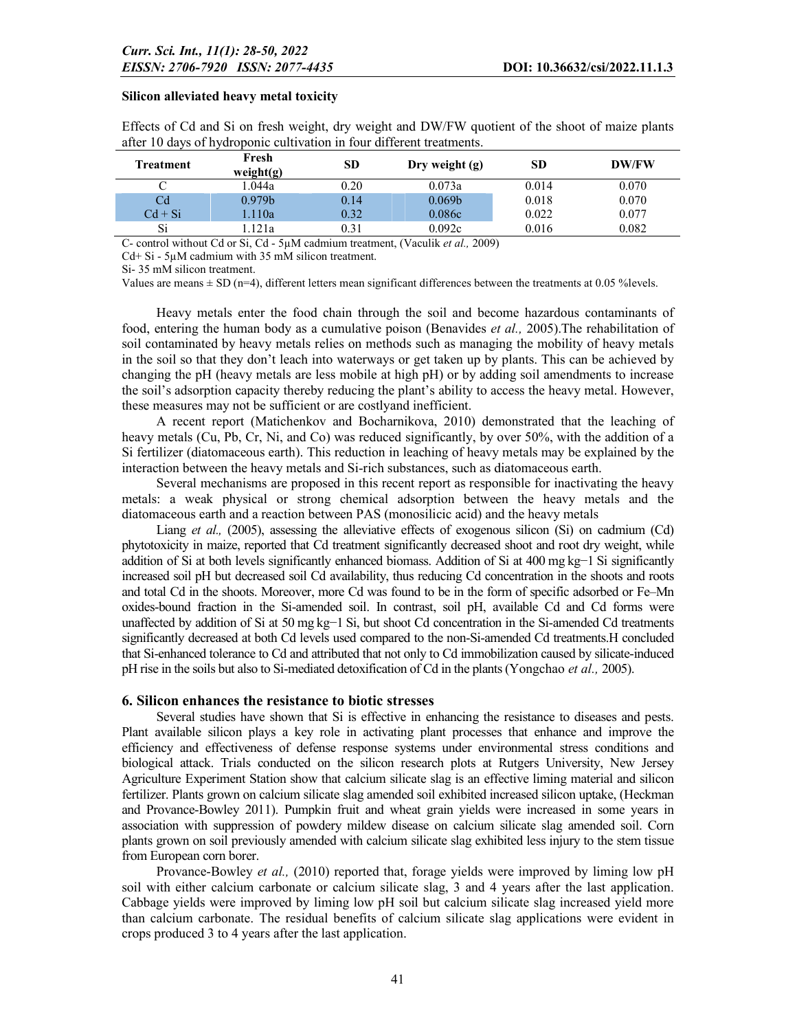### Silicon alleviated heavy metal toxicity

| Effects of Cd and Si on fresh weight, dry weight and DW/FW quotient of the shoot of maize plants |  |  |  |  |  |  |
|--------------------------------------------------------------------------------------------------|--|--|--|--|--|--|
| after 10 days of hydroponic cultivation in four different treatments.                            |  |  |  |  |  |  |

| Treatment | Fresh<br>weight $(g)$ | SD   | Dry weight (g)     | SD    | DW/FW |
|-----------|-----------------------|------|--------------------|-------|-------|
|           | l.044a                | 0.20 | 0.073a             | 0.014 | 0.070 |
| Cd        | 0.979b                | 0.14 | 0.069 <sub>b</sub> | 0.018 | 0.070 |
| $Cd + Si$ | l.110a                | 0.32 | 0.086c             | 0.022 | 0.077 |
| Si        | l.121a                | 0.31 | 0.092c             | 0.016 | 0.082 |

C- control without Cd or Si, Cd - 5µM cadmium treatment, (Vaculik *et al.,* 2009)

Cd+ Si - 5µM cadmium with 35 mM silicon treatment.

Si- 35 mM silicon treatment.

Values are means  $\pm$  SD (n=4), different letters mean significant differences between the treatments at 0.05 % levels.

Heavy metals enter the food chain through the soil and become hazardous contaminants of food, entering the human body as a cumulative poison (Benavides *et al.,* 2005).The rehabilitation of soil contaminated by heavy metals relies on methods such as managing the mobility of heavy metals in the soil so that they don't leach into waterways or get taken up by plants. This can be achieved by changing the pH (heavy metals are less mobile at high pH) or by adding soil amendments to increase the soil's adsorption capacity thereby reducing the plant's ability to access the heavy metal. However, these measures may not be sufficient or are costlyand inefficient.

A recent report (Matichenkov and Bocharnikova, 2010) demonstrated that the leaching of heavy metals (Cu, Pb, Cr, Ni, and Co) was reduced significantly, by over 50%, with the addition of a Si fertilizer (diatomaceous earth). This reduction in leaching of heavy metals may be explained by the interaction between the heavy metals and Si-rich substances, such as diatomaceous earth.

Several mechanisms are proposed in this recent report as responsible for inactivating the heavy metals: a weak physical or strong chemical adsorption between the heavy metals and the diatomaceous earth and a reaction between PAS (monosilicic acid) and the heavy metals

Liang *et al.*, (2005), assessing the alleviative effects of exogenous silicon (Si) on cadmium (Cd) phytotoxicity in maize, reported that Cd treatment significantly decreased shoot and root dry weight, while addition of Si at both levels significantly enhanced biomass. Addition of Si at 400 mg kg−1 Si significantly increased soil pH but decreased soil Cd availability, thus reducing Cd concentration in the shoots and roots and total Cd in the shoots. Moreover, more Cd was found to be in the form of specific adsorbed or Fe–Mn oxides-bound fraction in the Si-amended soil. In contrast, soil pH, available Cd and Cd forms were unaffected by addition of Si at 50 mg kg−1 Si, but shoot Cd concentration in the Si-amended Cd treatments significantly decreased at both Cd levels used compared to the non-Si-amended Cd treatments.H concluded that Si-enhanced tolerance to Cd and attributed that not only to Cd immobilization caused by silicate-induced pH rise in the soils but also to Si-mediated detoxification of Cd in the plants (Yongchao *et al.,* 2005).

## 6. Silicon enhances the resistance to biotic stresses

Several studies have shown that Si is effective in enhancing the resistance to diseases and pests. Plant available silicon plays a key role in activating plant processes that enhance and improve the efficiency and effectiveness of defense response systems under environmental stress conditions and biological attack. Trials conducted on the silicon research plots at Rutgers University, New Jersey Agriculture Experiment Station show that calcium silicate slag is an effective liming material and silicon fertilizer. Plants grown on calcium silicate slag amended soil exhibited increased silicon uptake, (Heckman and Provance-Bowley 2011). Pumpkin fruit and wheat grain yields were increased in some years in association with suppression of powdery mildew disease on calcium silicate slag amended soil. Corn plants grown on soil previously amended with calcium silicate slag exhibited less injury to the stem tissue from European corn borer.

Provance-Bowley *et al.,* (2010) reported that, forage yields were improved by liming low pH soil with either calcium carbonate or calcium silicate slag, 3 and 4 years after the last application. Cabbage yields were improved by liming low pH soil but calcium silicate slag increased yield more than calcium carbonate. The residual benefits of calcium silicate slag applications were evident in crops produced 3 to 4 years after the last application.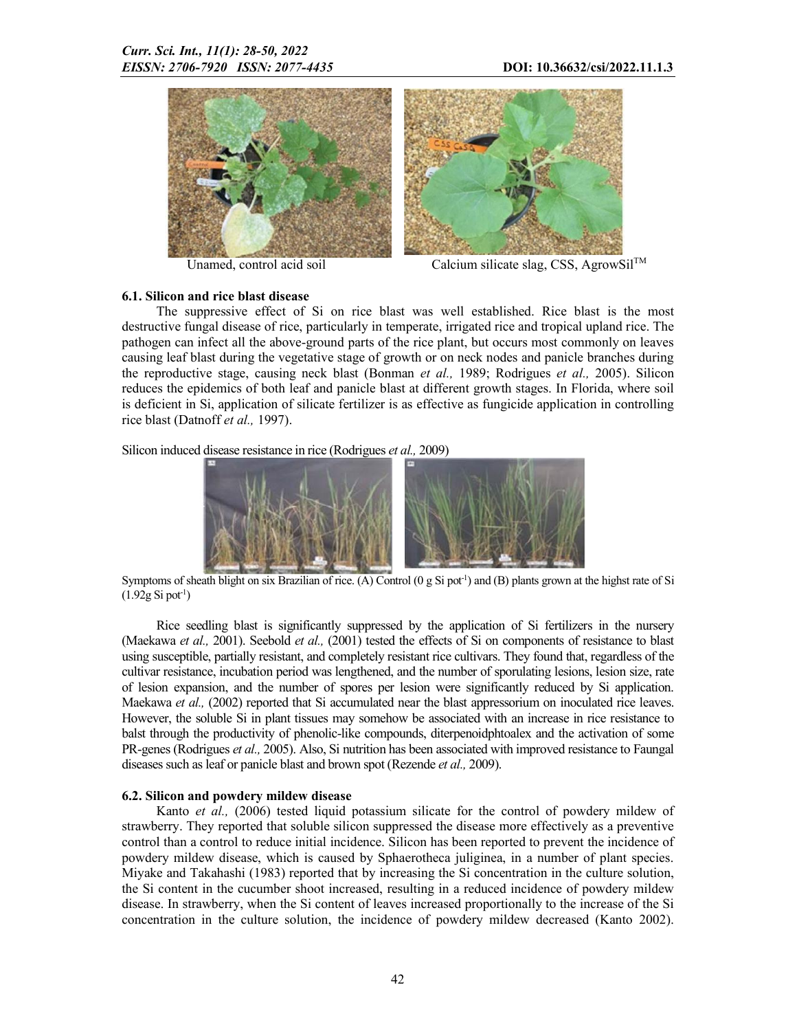

Unamed, control acid soil Calcium silicate slag, CSS, AgrowSil<sup>TM</sup>

## 6.1. Silicon and rice blast disease

The suppressive effect of Si on rice blast was well established. Rice blast is the most destructive fungal disease of rice, particularly in temperate, irrigated rice and tropical upland rice. The pathogen can infect all the above-ground parts of the rice plant, but occurs most commonly on leaves causing leaf blast during the vegetative stage of growth or on neck nodes and panicle branches during the reproductive stage, causing neck blast (Bonman *et al.,* 1989; Rodrigues *et al.,* 2005). Silicon reduces the epidemics of both leaf and panicle blast at different growth stages. In Florida, where soil is deficient in Si, application of silicate fertilizer is as effective as fungicide application in controlling rice blast (Datnoff *et al.,* 1997).

Silicon induced disease resistance in rice (Rodrigues *et al.,* 2009)



Symptoms of sheath blight on six Brazilian of rice. (A) Control  $(0 \text{ g Si pot}^{-1})$  and  $(B)$  plants grown at the highst rate of Si  $(1.92g Si pot<sup>-1</sup>)$ 

Rice seedling blast is significantly suppressed by the application of Si fertilizers in the nursery (Maekawa *et al.,* 2001). Seebold *et al.,* (2001) tested the effects of Si on components of resistance to blast using susceptible, partially resistant, and completely resistant rice cultivars. They found that, regardless of the cultivar resistance, incubation period was lengthened, and the number of sporulating lesions, lesion size, rate of lesion expansion, and the number of spores per lesion were significantly reduced by Si application. Maekawa *et al.*, (2002) reported that Si accumulated near the blast appressorium on inoculated rice leaves. However, the soluble Si in plant tissues may somehow be associated with an increase in rice resistance to balst through the productivity of phenolic-like compounds, diterpenoidphtoalex and the activation of some PR-genes (Rodrigues *et al.,* 2005). Also, Si nutrition has been associated with improved resistance to Faungal diseases such as leaf or panicle blast and brown spot (Rezende *et al.,* 2009).

## 6.2. Silicon and powdery mildew disease

Kanto *et al.,* (2006) tested liquid potassium silicate for the control of powdery mildew of strawberry. They reported that soluble silicon suppressed the disease more effectively as a preventive control than a control to reduce initial incidence. Silicon has been reported to prevent the incidence of powdery mildew disease, which is caused by Sphaerotheca juliginea, in a number of plant species. Miyake and Takahashi (1983) reported that by increasing the Si concentration in the culture solution, the Si content in the cucumber shoot increased, resulting in a reduced incidence of powdery mildew disease. In strawberry, when the Si content of leaves increased proportionally to the increase of the Si concentration in the culture solution, the incidence of powdery mildew decreased (Kanto 2002).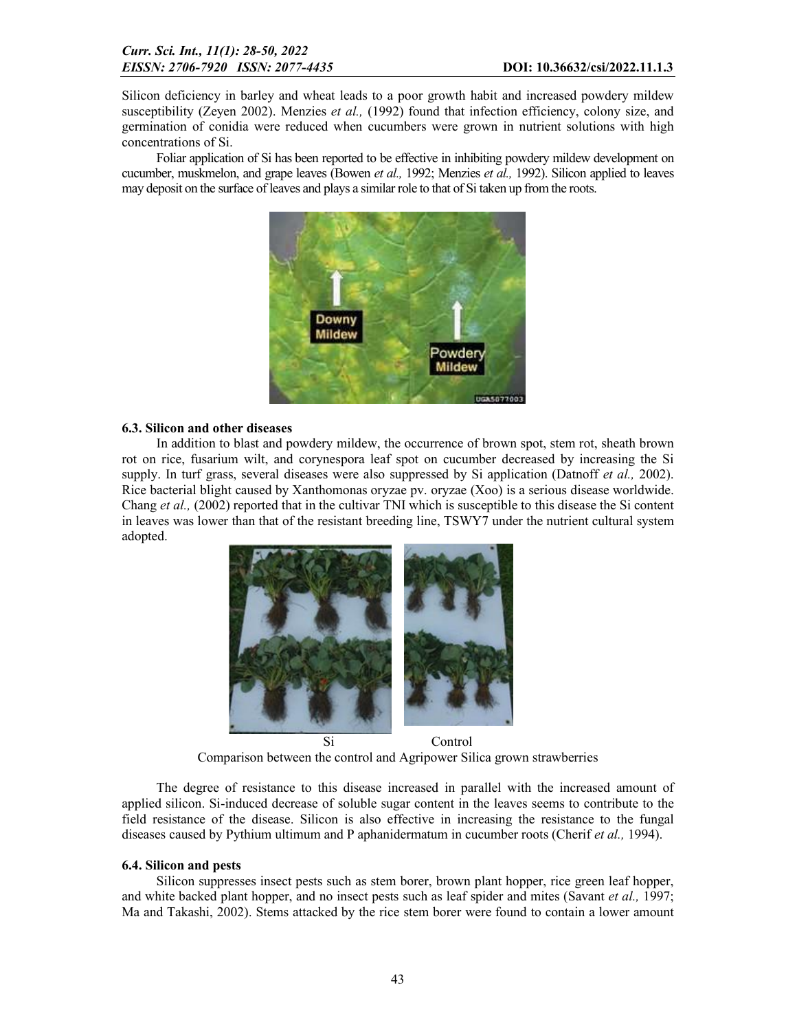Silicon deficiency in barley and wheat leads to a poor growth habit and increased powdery mildew susceptibility (Zeyen 2002). Menzies *et al.,* (1992) found that infection efficiency, colony size, and germination of conidia were reduced when cucumbers were grown in nutrient solutions with high concentrations of Si.

Foliar application of Si has been reported to be effective in inhibiting powdery mildew development on cucumber, muskmelon, and grape leaves (Bowen *et al.,* 1992; Menzies *et al.,* 1992). Silicon applied to leaves may deposit on the surface of leaves and plays a similar role to that of Si taken up from the roots.



## 6.3. Silicon and other diseases

In addition to blast and powdery mildew, the occurrence of brown spot, stem rot, sheath brown rot on rice, fusarium wilt, and corynespora leaf spot on cucumber decreased by increasing the Si supply. In turf grass, several diseases were also suppressed by Si application (Datnoff *et al.,* 2002). Rice bacterial blight caused by Xanthomonas oryzae pv. oryzae (Xoo) is a serious disease worldwide. Chang *et al.,* (2002) reported that in the cultivar TNI which is susceptible to this disease the Si content in leaves was lower than that of the resistant breeding line, TSWY7 under the nutrient cultural system adopted.



 Si Control Comparison between the control and Agripower Silica grown strawberries

The degree of resistance to this disease increased in parallel with the increased amount of applied silicon. Si-induced decrease of soluble sugar content in the leaves seems to contribute to the field resistance of the disease. Silicon is also effective in increasing the resistance to the fungal diseases caused by Pythium ultimum and P aphanidermatum in cucumber roots (Cherif *et al.,* 1994).

## 6.4. Silicon and pests

Silicon suppresses insect pests such as stem borer, brown plant hopper, rice green leaf hopper, and white backed plant hopper, and no insect pests such as leaf spider and mites (Savant *et al.,* 1997; Ma and Takashi, 2002). Stems attacked by the rice stem borer were found to contain a lower amount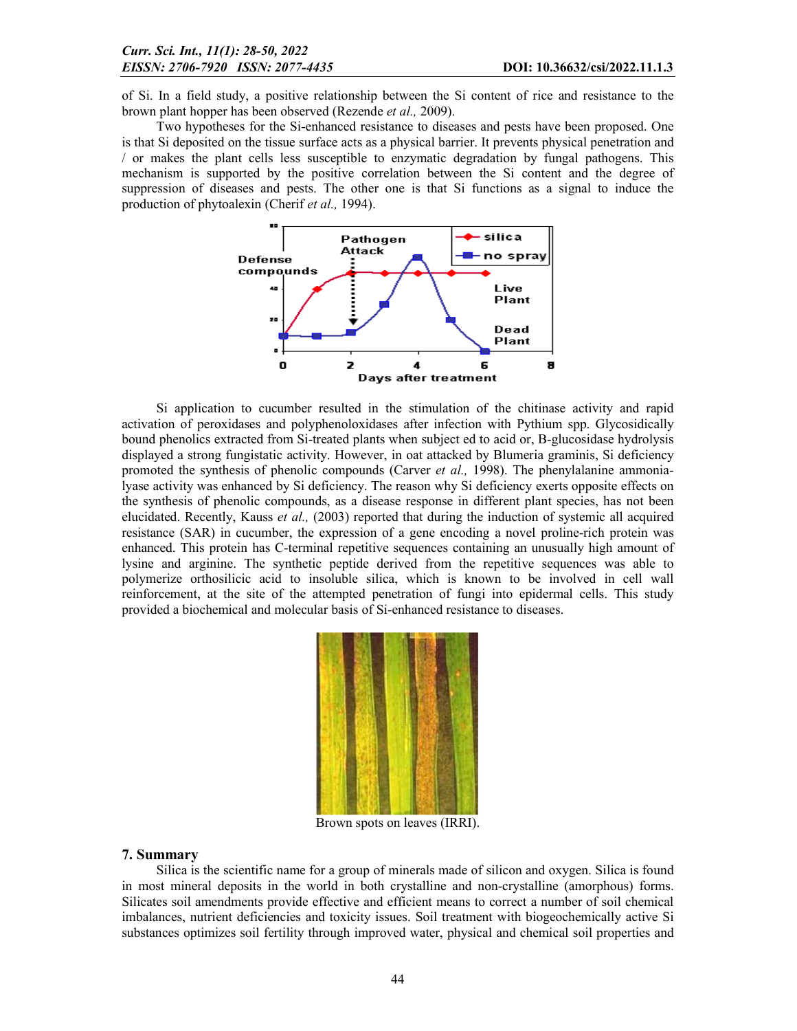of Si. In a field study, a positive relationship between the Si content of rice and resistance to the brown plant hopper has been observed (Rezende *et al.,* 2009).

Two hypotheses for the Si-enhanced resistance to diseases and pests have been proposed. One is that Si deposited on the tissue surface acts as a physical barrier. It prevents physical penetration and / or makes the plant cells less susceptible to enzymatic degradation by fungal pathogens. This mechanism is supported by the positive correlation between the Si content and the degree of suppression of diseases and pests. The other one is that Si functions as a signal to induce the production of phytoalexin (Cherif *et al.,* 1994).



Si application to cucumber resulted in the stimulation of the chitinase activity and rapid activation of peroxidases and polyphenoloxidases after infection with Pythium spp. Glycosidically bound phenolics extracted from Si-treated plants when subject ed to acid or, B-glucosidase hydrolysis displayed a strong fungistatic activity. However, in oat attacked by Blumeria graminis, Si deficiency promoted the synthesis of phenolic compounds (Carver *et al.,* 1998). The phenylalanine ammonialyase activity was enhanced by Si deficiency. The reason why Si deficiency exerts opposite effects on the synthesis of phenolic compounds, as a disease response in different plant species, has not been elucidated. Recently, Kauss *et al.,* (2003) reported that during the induction of systemic all acquired resistance (SAR) in cucumber, the expression of a gene encoding a novel proline-rich protein was enhanced. This protein has C-terminal repetitive sequences containing an unusually high amount of lysine and arginine. The synthetic peptide derived from the repetitive sequences was able to polymerize orthosilicic acid to insoluble silica, which is known to be involved in cell wall reinforcement, at the site of the attempted penetration of fungi into epidermal cells. This study provided a biochemical and molecular basis of Si-enhanced resistance to diseases.



Brown spots on leaves (IRRI).

### 7. Summary

Silica is the scientific name for a group of minerals made of silicon and oxygen. Silica is found in most mineral deposits in the world in both crystalline and non-crystalline (amorphous) forms. Silicates soil amendments provide effective and efficient means to correct a number of soil chemical imbalances, nutrient deficiencies and toxicity issues. Soil treatment with biogeochemically active Si substances optimizes soil fertility through improved water, physical and chemical soil properties and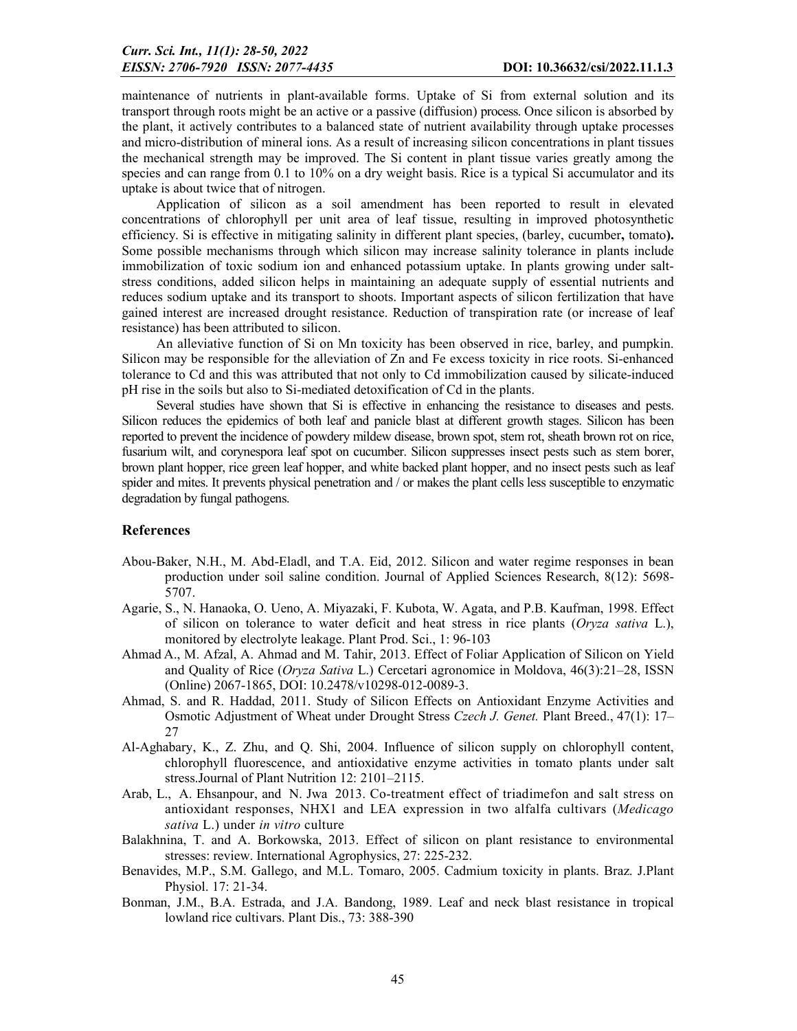maintenance of nutrients in plant-available forms. Uptake of Si from external solution and its transport through roots might be an active or a passive (diffusion) process. Once silicon is absorbed by the plant, it actively contributes to a balanced state of nutrient availability through uptake processes and micro-distribution of mineral ions. As a result of increasing silicon concentrations in plant tissues the mechanical strength may be improved. The Si content in plant tissue varies greatly among the species and can range from 0.1 to 10% on a dry weight basis. Rice is a typical Si accumulator and its uptake is about twice that of nitrogen.

Application of silicon as a soil amendment has been reported to result in elevated concentrations of chlorophyll per unit area of leaf tissue, resulting in improved photosynthetic efficiency. Si is effective in mitigating salinity in different plant species, (barley, cucumber, tomato). Some possible mechanisms through which silicon may increase salinity tolerance in plants include immobilization of toxic sodium ion and enhanced potassium uptake. In plants growing under saltstress conditions, added silicon helps in maintaining an adequate supply of essential nutrients and reduces sodium uptake and its transport to shoots. Important aspects of silicon fertilization that have gained interest are increased drought resistance. Reduction of transpiration rate (or increase of leaf resistance) has been attributed to silicon.

An alleviative function of Si on Mn toxicity has been observed in rice, barley, and pumpkin. Silicon may be responsible for the alleviation of Zn and Fe excess toxicity in rice roots. Si-enhanced tolerance to Cd and this was attributed that not only to Cd immobilization caused by silicate-induced pH rise in the soils but also to Si-mediated detoxification of Cd in the plants.

Several studies have shown that Si is effective in enhancing the resistance to diseases and pests. Silicon reduces the epidemics of both leaf and panicle blast at different growth stages. Silicon has been reported to prevent the incidence of powdery mildew disease, brown spot, stem rot, sheath brown rot on rice, fusarium wilt, and corynespora leaf spot on cucumber. Silicon suppresses insect pests such as stem borer, brown plant hopper, rice green leaf hopper, and white backed plant hopper, and no insect pests such as leaf spider and mites. It prevents physical penetration and / or makes the plant cells less susceptible to enzymatic degradation by fungal pathogens.

## References

- Abou-Baker, N.H., M. Abd-Eladl, and T.A. Eid, 2012. Silicon and water regime responses in bean production under soil saline condition. Journal of Applied Sciences Research, 8(12): 5698- 5707.
- Agarie, S., N. Hanaoka, O. Ueno, A. Miyazaki, F. Kubota, W. Agata, and P.B. Kaufman, 1998. Effect of silicon on tolerance to water deficit and heat stress in rice plants (*Oryza sativa* L.), monitored by electrolyte leakage. Plant Prod. Sci., 1: 96-103
- Ahmad A., M. Afzal, A. Ahmad and M. Tahir, 2013. Effect of Foliar Application of Silicon on Yield and Quality of Rice (*Oryza Sativa* L.) Cercetari agronomice in Moldova, 46(3):21–28, ISSN (Online) 2067-1865, DOI: 10.2478/v10298-012-0089-3.
- Ahmad, S. and R. Haddad, 2011. Study of Silicon Effects on Antioxidant Enzyme Activities and Osmotic Adjustment of Wheat under Drought Stress *Czech J. Genet.* Plant Breed., 47(1): 17– 27
- Al-Aghabary, K., Z. Zhu, and Q. Shi, 2004. Influence of silicon supply on chlorophyll content, chlorophyll fluorescence, and antioxidative enzyme activities in tomato plants under salt stress.Journal of Plant Nutrition 12: 2101–2115.
- Arab, L., A. Ehsanpour, and N. Jwa 2013. Co-treatment effect of triadimefon and salt stress on antioxidant responses, NHX1 and LEA expression in two alfalfa cultivars (*Medicago sativa* L.) under *in vitro* culture
- Balakhnina, T. and A. Borkowska, 2013. Effect of silicon on plant resistance to environmental stresses: review. International Agrophysics, 27: 225-232.
- Benavides, M.P., S.M. Gallego, and M.L. Tomaro, 2005. Cadmium toxicity in plants. Braz. J.Plant Physiol. 17: 21-34.
- Bonman, J.M., B.A. Estrada, and J.A. Bandong, 1989. Leaf and neck blast resistance in tropical lowland rice cultivars. Plant Dis., 73: 388-390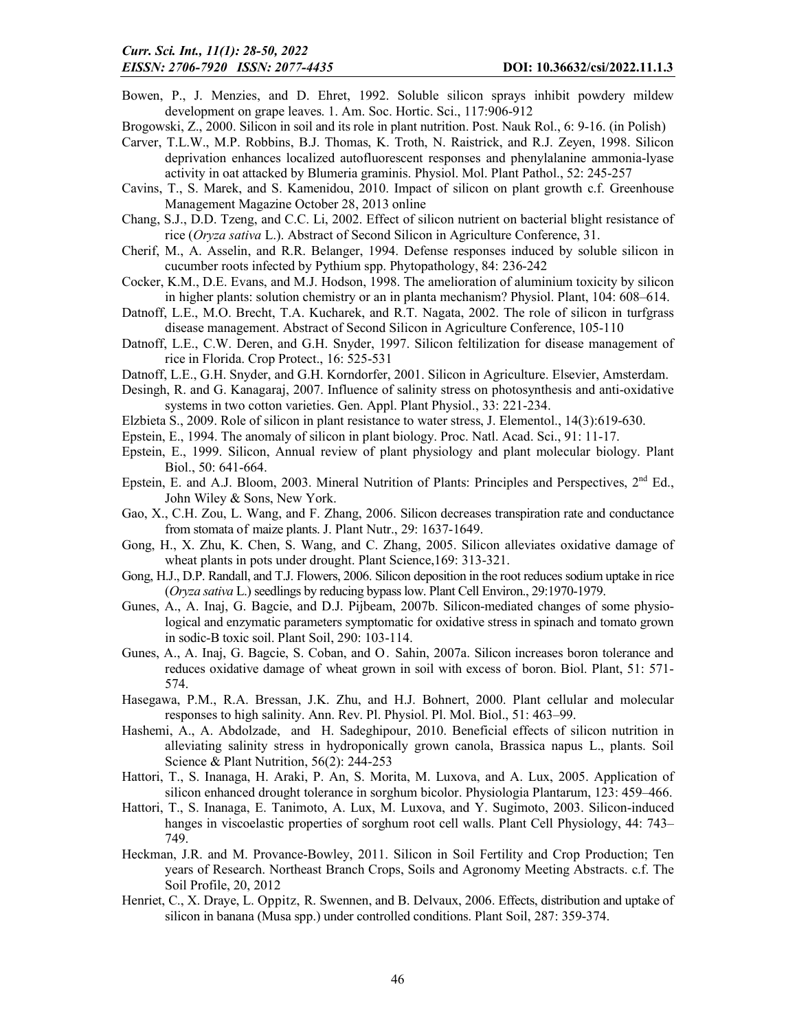- Bowen, P., J. Menzies, and D. Ehret, 1992. Soluble silicon sprays inhibit powdery mildew development on grape leaves. 1. Am. Soc. Hortic. Sci., 117:906-912
- Brogowski, Z., 2000. Silicon in soil and its role in plant nutrition. Post. Nauk Rol., 6: 9-16. (in Polish)
- Carver, T.L.W., M.P. Robbins, B.J. Thomas, K. Troth, N. Raistrick, and R.J. Zeyen, 1998. Silicon deprivation enhances localized autofluorescent responses and phenylalanine ammonia-lyase activity in oat attacked by Blumeria graminis. Physiol. Mol. Plant Pathol., 52: 245-257
- Cavins, T., S. Marek, and S. Kamenidou, 2010. Impact of silicon on plant growth c.f. Greenhouse Management Magazine October 28, 2013 online
- Chang, S.J., D.D. Tzeng, and C.C. Li, 2002. Effect of silicon nutrient on bacterial blight resistance of rice (*Oryza sativa* L.). Abstract of Second Silicon in Agriculture Conference, 31.
- Cherif, M., A. Asselin, and R.R. Belanger, 1994. Defense responses induced by soluble silicon in cucumber roots infected by Pythium spp. Phytopathology, 84: 236-242
- Cocker, K.M., D.E. Evans, and M.J. Hodson, 1998. The amelioration of aluminium toxicity by silicon in higher plants: solution chemistry or an in planta mechanism? Physiol. Plant, 104: 608–614.
- Datnoff, L.E., M.O. Brecht, T.A. Kucharek, and R.T. Nagata, 2002. The role of silicon in turfgrass disease management. Abstract of Second Silicon in Agriculture Conference, 105-110
- Datnoff, L.E., C.W. Deren, and G.H. Snyder, 1997. Silicon feltilization for disease management of rice in Florida. Crop Protect., 16: 525-531
- Datnoff, L.E., G.H. Snyder, and G.H. Korndorfer, 2001. Silicon in Agriculture. Elsevier, Amsterdam.
- Desingh, R. and G. Kanagaraj, 2007. Influence of salinity stress on photosynthesis and anti-oxidative systems in two cotton varieties. Gen. Appl. Plant Physiol., 33: 221-234.
- Elzbieta S., 2009. Role of silicon in plant resistance to water stress, J. Elementol., 14(3):619-630.
- Epstein, E., 1994. The anomaly of silicon in plant biology. Proc. Natl. Acad. Sci., 91: 11-17.
- Epstein, E., 1999. Silicon, Annual review of plant physiology and plant molecular biology. Plant Biol., 50: 641-664.
- Epstein, E. and A.J. Bloom, 2003. Mineral Nutrition of Plants: Principles and Perspectives, 2<sup>nd</sup> Ed., John Wiley & Sons, New York.
- Gao, X., C.H. Zou, L. Wang, and F. Zhang, 2006. Silicon decreases transpiration rate and conductance from stomata of maize plants. J. Plant Nutr., 29: 1637-1649.
- Gong, H., X. Zhu, K. Chen, S. Wang, and C. Zhang, 2005. Silicon alleviates oxidative damage of wheat plants in pots under drought. Plant Science,169: 313-321.
- Gong, H.J., D.P. Randall, and T.J. Flowers, 2006. Silicon deposition in the root reduces sodium uptake in rice (*Oryza sativa* L.) seedlings by reducing bypass low. Plant Cell Environ., 29:1970-1979.
- Gunes, A., A. Inaj, G. Bagcie, and D.J. Pijbeam, 2007b. Silicon-mediated changes of some physiological and enzymatic parameters symptomatic for oxidative stress in spinach and tomato grown in sodic-B toxic soil. Plant Soil, 290: 103-114.
- Gunes, A., A. Inaj, G. Bagcie, S. Coban, and O. Sahin, 2007a. Silicon increases boron tolerance and reduces oxidative damage of wheat grown in soil with excess of boron. Biol. Plant, 51: 571- 574.
- Hasegawa, P.M., R.A. Bressan, J.K. Zhu, and H.J. Bohnert, 2000. Plant cellular and molecular responses to high salinity. Ann. Rev. Pl. Physiol. Pl. Mol. Biol., 51: 463–99.
- Hashemi, A., A. Abdolzade, and H. Sadeghipour, 2010. Beneficial effects of silicon nutrition in alleviating salinity stress in hydroponically grown canola, Brassica napus L., plants. Soil Science & Plant Nutrition, 56(2): 244-253
- Hattori, T., S. Inanaga, H. Araki, P. An, S. Morita, M. Luxova, and A. Lux, 2005. Application of silicon enhanced drought tolerance in sorghum bicolor. Physiologia Plantarum, 123: 459–466.
- Hattori, T., S. Inanaga, E. Tanimoto, A. Lux, M. Luxova, and Y. Sugimoto, 2003. Silicon-induced hanges in viscoelastic properties of sorghum root cell walls. Plant Cell Physiology, 44: 743– 749.
- Heckman, J.R. and M. Provance-Bowley, 2011. Silicon in Soil Fertility and Crop Production; Ten years of Research. Northeast Branch Crops, Soils and Agronomy Meeting Abstracts. c.f. The Soil Profile, 20, 2012
- Henriet, C., X. Draye, L. Oppitz, R. Swennen, and B. Delvaux, 2006. Effects, distribution and uptake of silicon in banana (Musa spp.) under controlled conditions. Plant Soil, 287: 359-374.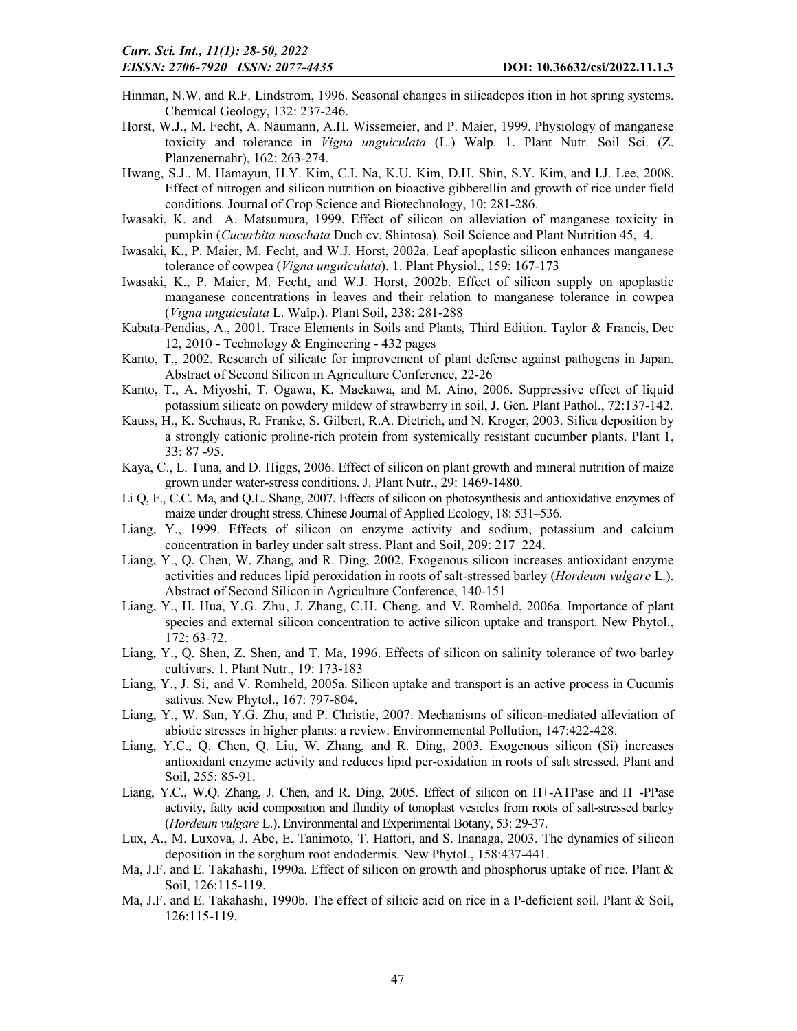- Hinman, N.W. and R.F. Lindstrom, 1996. Seasonal changes in silicadepos ition in hot spring systems. Chemical Geology, 132: 237-246.
- Horst, W.J., M. Fecht, A. Naumann, A.H. Wissemeier, and P. Maier, 1999. Physiology of manganese toxicity and tolerance in *Vigna unguiculata* (L.) Walp. 1. Plant Nutr. Soil Sci. (Z. Planzenernahr), 162: 263-274.
- Hwang, S.J., M. Hamayun, H.Y. Kim, C.I. Na, K.U. Kim, D.H. Shin, S.Y. Kim, and I.J. Lee, 2008. Effect of nitrogen and silicon nutrition on bioactive gibberellin and growth of rice under field conditions. Journal of Crop Science and Biotechnology, 10: 281-286.
- Iwasaki, K. and A. Matsumura, 1999. Effect of silicon on alleviation of manganese toxicity in pumpkin (*Cucurbita moschata* Duch cv. Shintosa). Soil Science and Plant Nutrition 45, 4.
- Iwasaki, K., P. Maier, M. Fecht, and W.J. Horst, 2002a. Leaf apoplastic silicon enhances manganese tolerance of cowpea (*Vigna unguiculata*). 1. Plant Physiol., 159: 167-173
- Iwasaki, K., P. Maier, M. Fecht, and W.J. Horst, 2002b. Effect of silicon supply on apoplastic manganese concentrations in leaves and their relation to manganese tolerance in cowpea (*Vigna unguiculata* L. Walp.). Plant Soil, 238: 281-288
- Kabata-Pendias, A., 2001. Trace Elements in Soils and Plants, Third Edition. Taylor & Francis, Dec 12, 2010 - Technology & Engineering - 432 pages
- Kanto, T., 2002. Research of silicate for improvement of plant defense against pathogens in Japan. Abstract of Second Silicon in Agriculture Conference, 22-26
- Kanto, T., A. Miyoshi, T. Ogawa, K. Maekawa, and M. Aino, 2006. Suppressive effect of liquid potassium silicate on powdery mildew of strawberry in soil, J. Gen. Plant Pathol., 72:137-142.
- Kauss, H., K. Seehaus, R. Franke, S. Gilbert, R.A. Dietrich, and N. Kroger, 2003. Silica deposition by a strongly cationic proline-rich protein from systemically resistant cucumber plants. Plant 1, 33: 87 -95.
- Kaya, C., L. Tuna, and D. Higgs, 2006. Effect of silicon on plant growth and mineral nutrition of maize grown under water-stress conditions. J. Plant Nutr., 29: 1469-1480.
- Li Q, F., C.C. Ma, and Q.L. Shang, 2007. Effects of silicon on photosynthesis and antioxidative enzymes of maize under drought stress. Chinese Journal of Applied Ecology, 18: 531–536.
- Liang, Y., 1999. Effects of silicon on enzyme activity and sodium, potassium and calcium concentration in barley under salt stress. Plant and Soil, 209: 217–224.
- Liang, Y., Q. Chen, W. Zhang, and R. Ding, 2002. Exogenous silicon increases antioxidant enzyme activities and reduces lipid peroxidation in roots of salt-stressed barley (*Hordeum vulgare* L.). Abstract of Second Silicon in Agriculture Conference, 140-151
- Liang, Y., H. Hua, Y.G. Zhu, J. Zhang, C.H. Cheng, and V. Romheld, 2006a. Importance of plant species and external silicon concentration to active silicon uptake and transport. New Phytol., 172: 63-72.
- Liang, Y., Q. Shen, Z. Shen, and T. Ma, 1996. Effects of silicon on salinity tolerance of two barley cultivars. 1. Plant Nutr., 19: 173-183
- Liang, Y., J. Si, and V. Romheld, 2005a. Silicon uptake and transport is an active process in Cucumis sativus. New Phytol., 167: 797-804.
- Liang, Y., W. Sun, Y.G. Zhu, and P. Christie, 2007. Mechanisms of silicon-mediated alleviation of abiotic stresses in higher plants: a review. Environnemental Pollution, 147:422-428.
- Liang, Y.C., Q. Chen, Q. Liu, W. Zhang, and R. Ding, 2003. Exogenous silicon (Si) increases antioxidant enzyme activity and reduces lipid per-oxidation in roots of salt stressed. Plant and Soil, 255: 85-91.
- Liang, Y.C., W.Q. Zhang, J. Chen, and R. Ding, 2005. Effect of silicon on H+-ATPase and H+-PPase activity, fatty acid composition and fluidity of tonoplast vesicles from roots of salt-stressed barley (*Hordeum vulgare* L.). Environmental and Experimental Botany, 53: 29-37.
- Lux, A., M. Luxova, J. Abe, E. Tanimoto, T. Hattori, and S. Inanaga, 2003. The dynamics of silicon deposition in the sorghum root endodermis. New Phytol., 158:437-441.
- Ma, J.F. and E. Takahashi, 1990a. Effect of silicon on growth and phosphorus uptake of rice. Plant & Soil, 126:115-119.
- Ma, J.F. and E. Takahashi, 1990b. The effect of silicic acid on rice in a P-deficient soil. Plant & Soil, 126:115-119.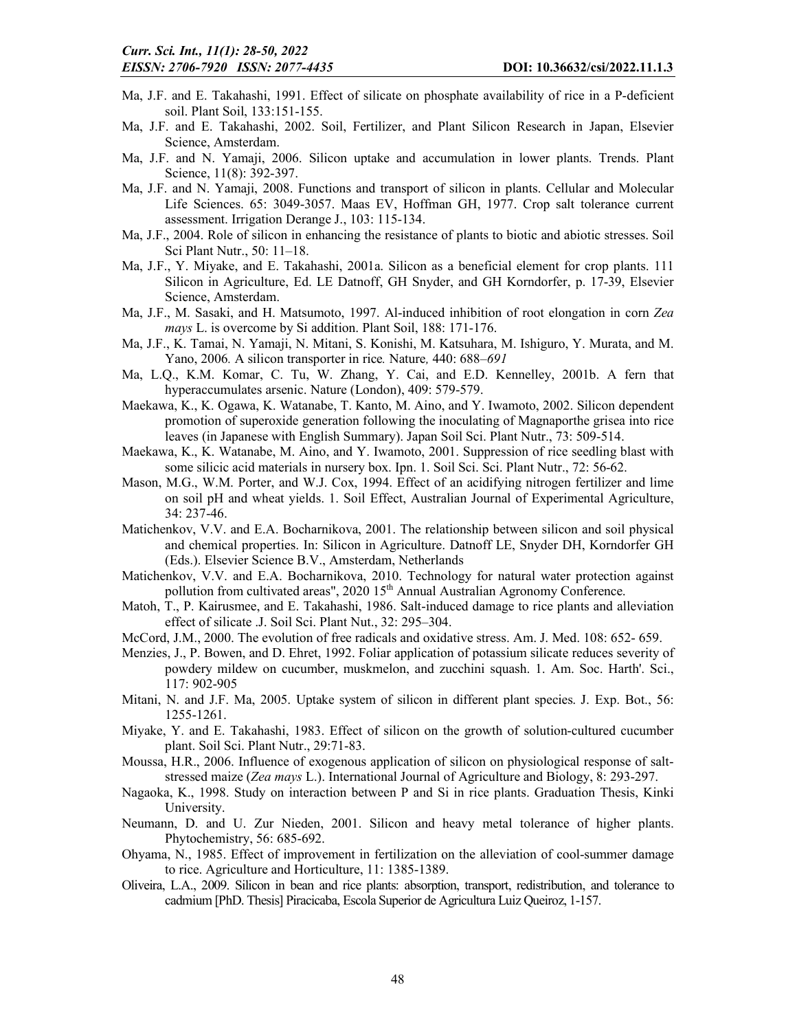- Ma, J.F. and E. Takahashi, 1991. Effect of silicate on phosphate availability of rice in a P-deficient soil. Plant Soil, 133:151-155.
- Ma, J.F. and E. Takahashi, 2002. Soil, Fertilizer, and Plant Silicon Research in Japan, Elsevier Science, Amsterdam.
- Ma, J.F. and N. Yamaji, 2006. Silicon uptake and accumulation in lower plants. Trends. Plant Science, 11(8): 392-397.
- Ma, J.F. and N. Yamaji, 2008. Functions and transport of silicon in plants. Cellular and Molecular Life Sciences. 65: 3049-3057. Maas EV, Hoffman GH, 1977. Crop salt tolerance current assessment. Irrigation Derange J., 103: 115-134.
- Ma, J.F., 2004. Role of silicon in enhancing the resistance of plants to biotic and abiotic stresses. Soil Sci Plant Nutr., 50: 11–18.
- Ma, J.F., Y. Miyake, and E. Takahashi, 2001a. Silicon as a beneficial element for crop plants. 111 Silicon in Agriculture, Ed. LE Datnoff, GH Snyder, and GH Korndorfer, p. 17-39, Elsevier Science, Amsterdam.
- Ma, J.F., M. Sasaki, and H. Matsumoto, 1997. Al-induced inhibition of root elongation in corn *Zea mays* L. is overcome by Si addition. Plant Soil, 188: 171-176.
- Ma, J.F., K. Tamai, N. Yamaji, N. Mitani, S. Konishi, M. Katsuhara, M. Ishiguro, Y. Murata, and M. Yano, 2006*.* A silicon transporter in rice*.* Nature*,* 440: 688*–691*
- Ma, L.Q., K.M. Komar, C. Tu, W. Zhang, Y. Cai, and E.D. Kennelley, 2001b. A fern that hyperaccumulates arsenic. Nature (London), 409: 579-579.
- Maekawa, K., K. Ogawa, K. Watanabe, T. Kanto, M. Aino, and Y. Iwamoto, 2002. Silicon dependent promotion of superoxide generation following the inoculating of Magnaporthe grisea into rice leaves (in Japanese with English Summary). Japan Soil Sci. Plant Nutr., 73: 509-514.
- Maekawa, K., K. Watanabe, M. Aino, and Y. Iwamoto, 2001. Suppression of rice seedling blast with some silicic acid materials in nursery box. Ipn. 1. Soil Sci. Sci. Plant Nutr., 72: 56-62.
- Mason, M.G., W.M. Porter, and W.J. Cox, 1994. Effect of an acidifying nitrogen fertilizer and lime on soil pH and wheat yields. 1. Soil Effect, Australian Journal of Experimental Agriculture, 34: 237-46.
- Matichenkov, V.V. and E.A. Bocharnikova, 2001. The relationship between silicon and soil physical and chemical properties. In: Silicon in Agriculture. Datnoff LE, Snyder DH, Korndorfer GH (Eds.). Elsevier Science B.V., Amsterdam, Netherlands
- Matichenkov, V.V. and E.A. Bocharnikova, 2010. Technology for natural water protection against pollution from cultivated areas", 2020 15<sup>th</sup> Annual Australian Agronomy Conference.
- Matoh, T., P. Kairusmee, and E. Takahashi, 1986. Salt-induced damage to rice plants and alleviation effect of silicate .J. Soil Sci. Plant Nut., 32: 295–304.
- McCord, J.M., 2000. The evolution of free radicals and oxidative stress. Am. J. Med. 108: 652- 659.
- Menzies, J., P. Bowen, and D. Ehret, 1992. Foliar application of potassium silicate reduces severity of powdery mildew on cucumber, muskmelon, and zucchini squash. 1. Am. Soc. Harth'. Sci., 117: 902-905
- Mitani, N. and J.F. Ma, 2005. Uptake system of silicon in different plant species. J. Exp. Bot., 56: 1255-1261.
- Miyake, Y. and E. Takahashi, 1983. Effect of silicon on the growth of solution-cultured cucumber plant. Soil Sci. Plant Nutr., 29:71-83.
- Moussa, H.R., 2006. Influence of exogenous application of silicon on physiological response of saltstressed maize (*Zea mays* L.). International Journal of Agriculture and Biology, 8: 293-297.
- Nagaoka, K., 1998. Study on interaction between P and Si in rice plants. Graduation Thesis, Kinki University.
- Neumann, D. and U. Zur Nieden, 2001. Silicon and heavy metal tolerance of higher plants. Phytochemistry, 56: 685-692.
- Ohyama, N., 1985. Effect of improvement in fertilization on the alleviation of cool-summer damage to rice. Agriculture and Horticulture, 11: 1385-1389.
- Oliveira, L.A., 2009. Silicon in bean and rice plants: absorption, transport, redistribution, and tolerance to cadmium [PhD. Thesis] Piracicaba, Escola Superior de Agricultura Luiz Queiroz, 1-157.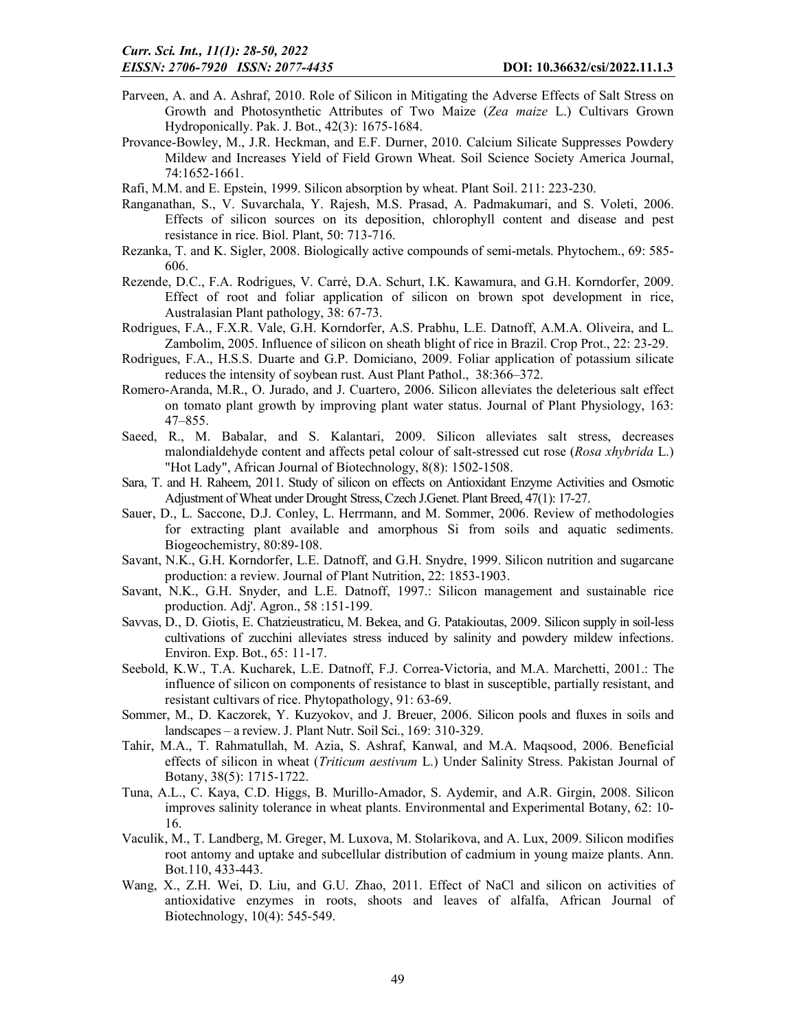- Parveen, A. and A. Ashraf, 2010. Role of Silicon in Mitigating the Adverse Effects of Salt Stress on Growth and Photosynthetic Attributes of Two Maize (*Zea maize* L.) Cultivars Grown Hydroponically. Pak. J. Bot., 42(3): 1675-1684.
- Provance-Bowley, M., J.R. Heckman, and E.F. Durner, 2010. Calcium Silicate Suppresses Powdery Mildew and Increases Yield of Field Grown Wheat. Soil Science Society America Journal, 74:1652-1661.
- Rafi, M.M. and E. Epstein, 1999. Silicon absorption by wheat. Plant Soil. 211: 223-230.
- Ranganathan, S., V. Suvarchala, Y. Rajesh, M.S. Prasad, A. Padmakumari, and S. Voleti, 2006. Effects of silicon sources on its deposition, chlorophyll content and disease and pest resistance in rice. Biol. Plant, 50: 713-716.
- Rezanka, T. and K. Sigler, 2008. Biologically active compounds of semi-metals. Phytochem., 69: 585- 606.
- Rezende, D.C., F.A. Rodrigues, V. Carré, D.A. Schurt, I.K. Kawamura, and G.H. Korndorfer, 2009. Effect of root and foliar application of silicon on brown spot development in rice, Australasian Plant pathology, 38: 67-73.
- Rodrigues, F.A., F.X.R. Vale, G.H. Korndorfer, A.S. Prabhu, L.E. Datnoff, A.M.A. Oliveira, and L. Zambolim, 2005. Influence of silicon on sheath blight of rice in Brazil. Crop Prot., 22: 23-29.
- Rodrigues, F.A., H.S.S. Duarte and G.P. Domiciano, 2009. Foliar application of potassium silicate reduces the intensity of soybean rust. Aust Plant Pathol., 38:366–372.
- Romero-Aranda, M.R., O. Jurado, and J. Cuartero, 2006. Silicon alleviates the deleterious salt effect on tomato plant growth by improving plant water status. Journal of Plant Physiology, 163: 47–855.
- Saeed, R., M. Babalar, and S. Kalantari, 2009. Silicon alleviates salt stress, decreases malondialdehyde content and affects petal colour of salt-stressed cut rose (*Rosa xhybrida* L.) "Hot Lady", African Journal of Biotechnology, 8(8): 1502-1508.
- Sara, T. and H. Raheem, 2011. Study of silicon on effects on Antioxidant Enzyme Activities and Osmotic Adjustment of Wheat under Drought Stress, Czech J.Genet. Plant Breed, 47(1): 17-27.
- Sauer, D., L. Saccone, D.J. Conley, L. Herrmann, and M. Sommer, 2006. Review of methodologies for extracting plant available and amorphous Si from soils and aquatic sediments. Biogeochemistry, 80:89-108.
- Savant, N.K., G.H. Korndorfer, L.E. Datnoff, and G.H. Snydre, 1999. Silicon nutrition and sugarcane production: a review. Journal of Plant Nutrition, 22: 1853-1903.
- Savant, N.K., G.H. Snyder, and L.E. Datnoff, 1997.: Silicon management and sustainable rice production. Adj'. Agron., 58 :151-199.
- Savvas, D., D. Giotis, E. Chatzieustraticu, M. Bekea, and G. Patakioutas, 2009. Silicon supply in soil-less cultivations of zucchini alleviates stress induced by salinity and powdery mildew infections. Environ. Exp. Bot., 65: 11-17.
- Seebold, K.W., T.A. Kucharek, L.E. Datnoff, F.J. Correa-Victoria, and M.A. Marchetti, 2001.: The influence of silicon on components of resistance to blast in susceptible, partially resistant, and resistant cultivars of rice. Phytopathology, 91: 63-69.
- Sommer, M., D. Kaczorek, Y. Kuzyokov, and J. Breuer, 2006. Silicon pools and fluxes in soils and landscapes – a review. J. Plant Nutr. Soil Sci., 169: 310-329.
- Tahir, M.A., T. Rahmatullah, M. Azia, S. Ashraf, Kanwal, and M.A. Maqsood, 2006. Beneficial effects of silicon in wheat (*Triticum aestivum* L.) Under Salinity Stress. Pakistan Journal of Botany, 38(5): 1715-1722.
- Tuna, A.L., C. Kaya, C.D. Higgs, B. Murillo-Amador, S. Aydemir, and A.R. Girgin, 2008. Silicon improves salinity tolerance in wheat plants. Environmental and Experimental Botany, 62: 10- 16.
- Vaculik, M., T. Landberg, M. Greger, M. Luxova, M. Stolarikova, and A. Lux, 2009. Silicon modifies root antomy and uptake and subcellular distribution of cadmium in young maize plants. Ann. Bot.110, 433-443.
- Wang, X., Z.H. Wei, D. Liu, and G.U. Zhao, 2011. Effect of NaCl and silicon on activities of antioxidative enzymes in roots, shoots and leaves of alfalfa, African Journal of Biotechnology, 10(4): 545-549.